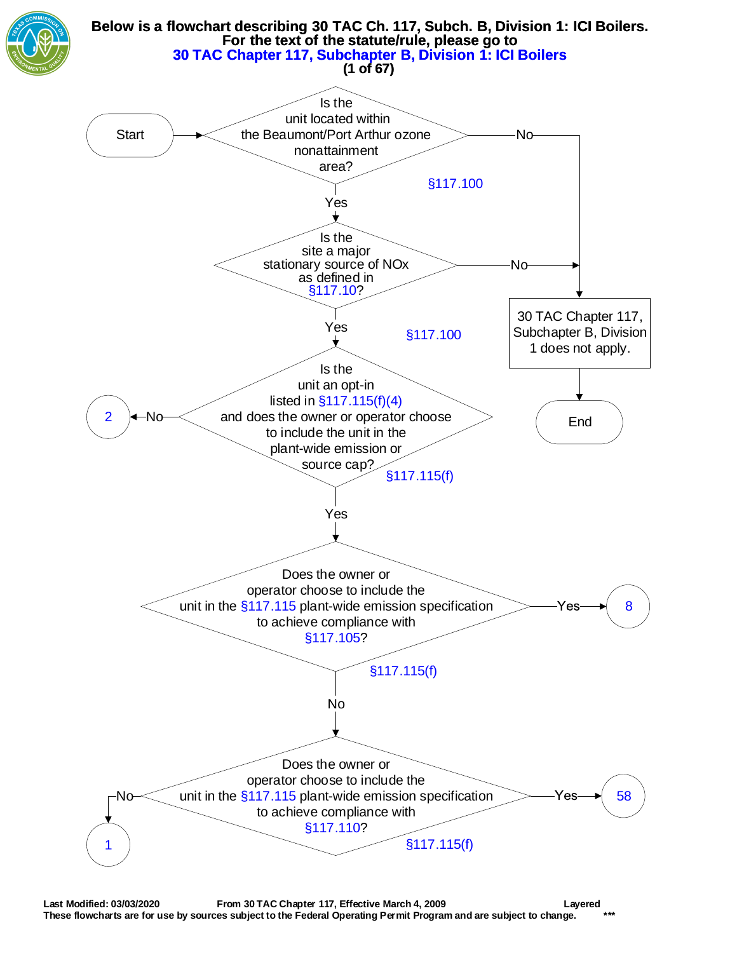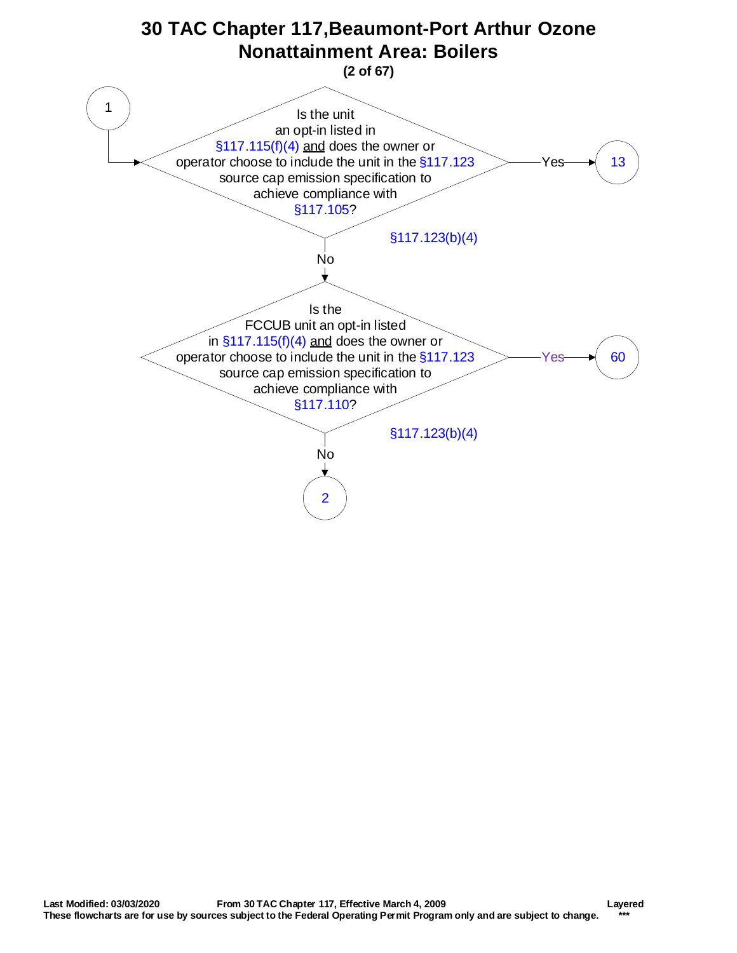<span id="page-1-0"></span>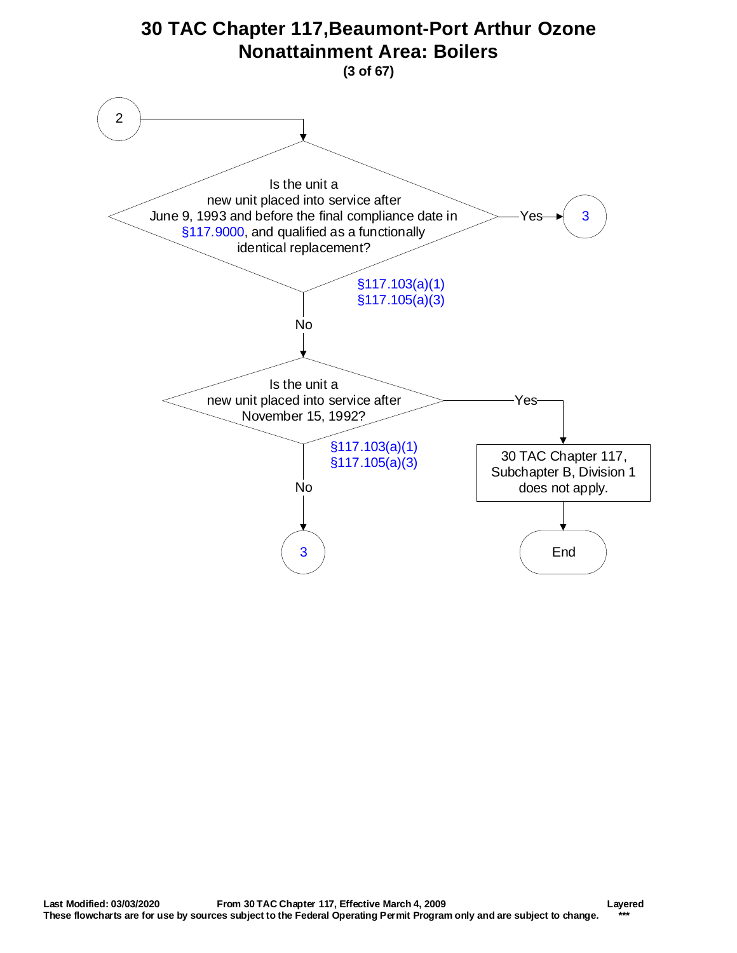<span id="page-2-0"></span>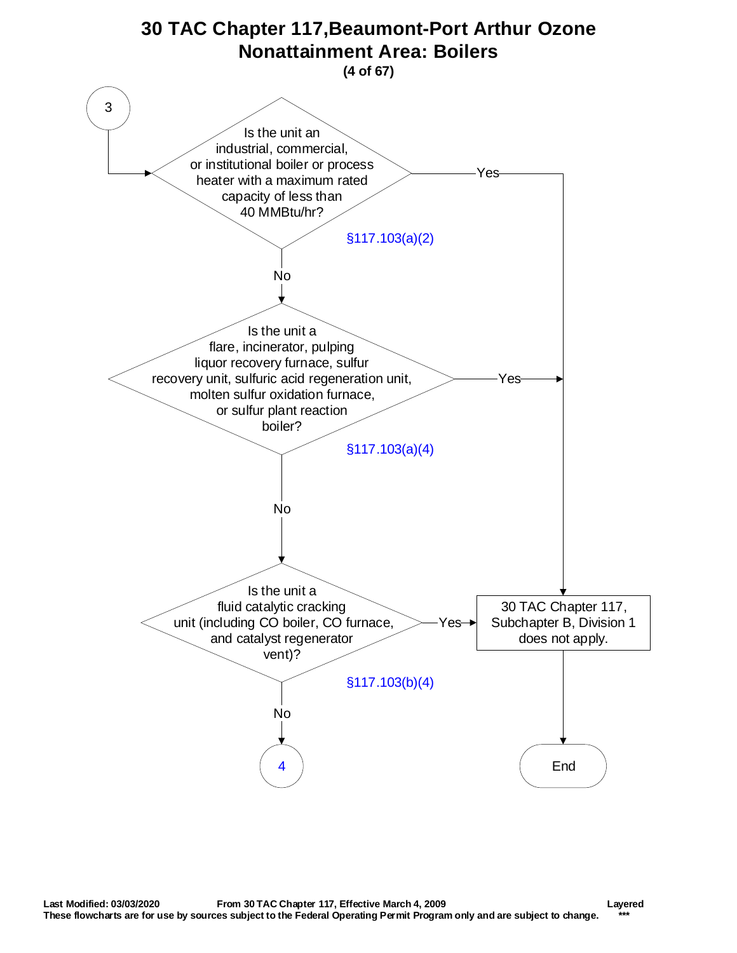<span id="page-3-0"></span>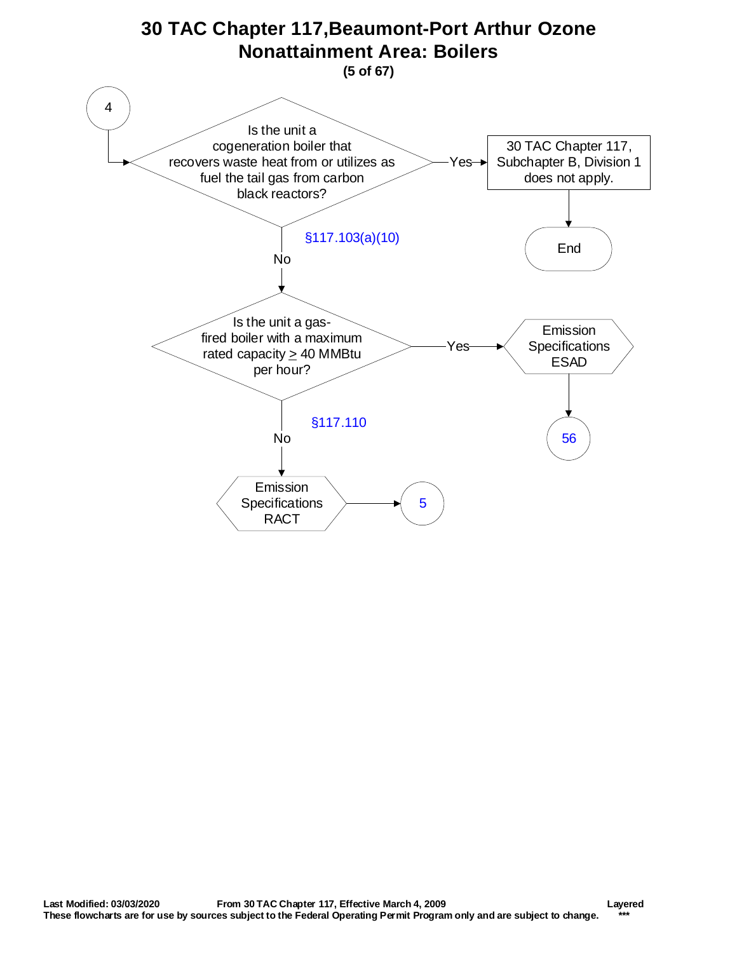<span id="page-4-0"></span>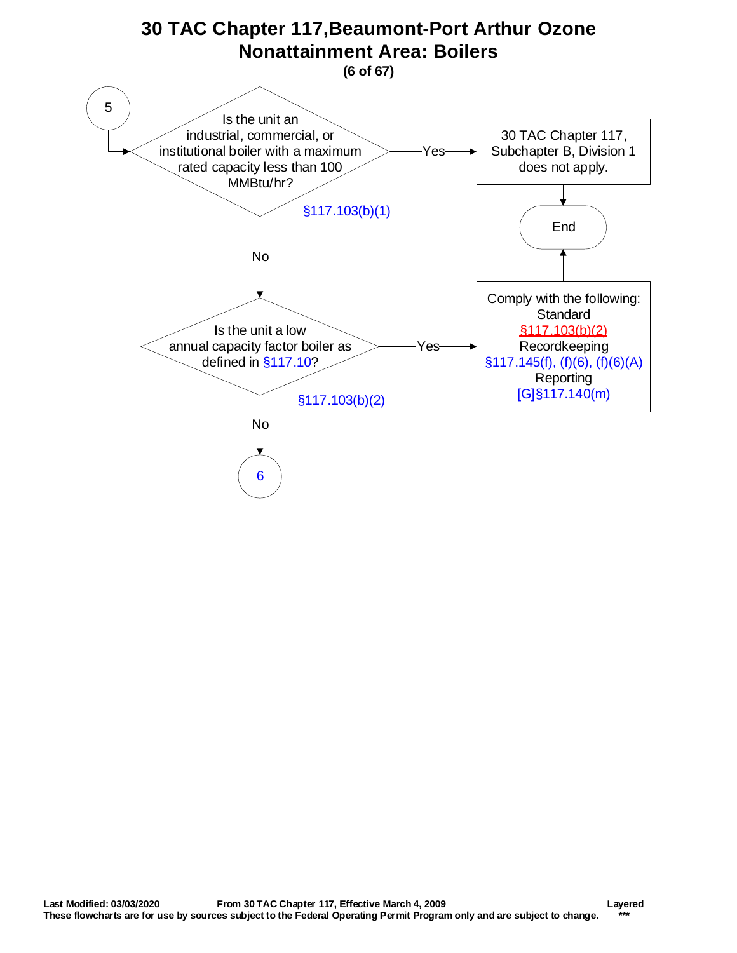<span id="page-5-0"></span>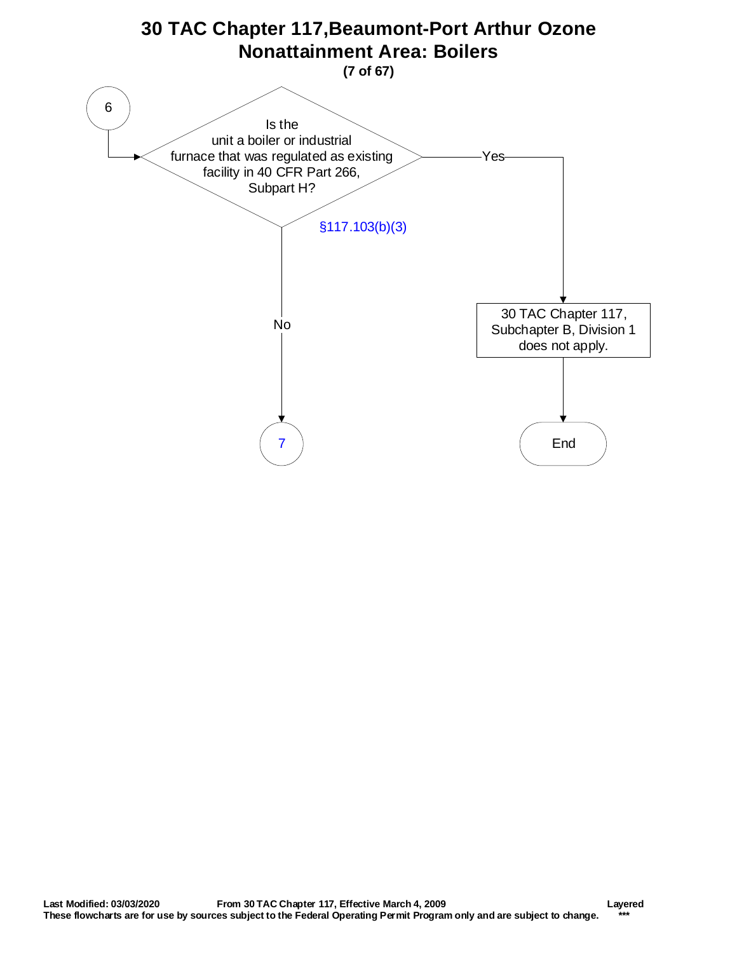<span id="page-6-0"></span>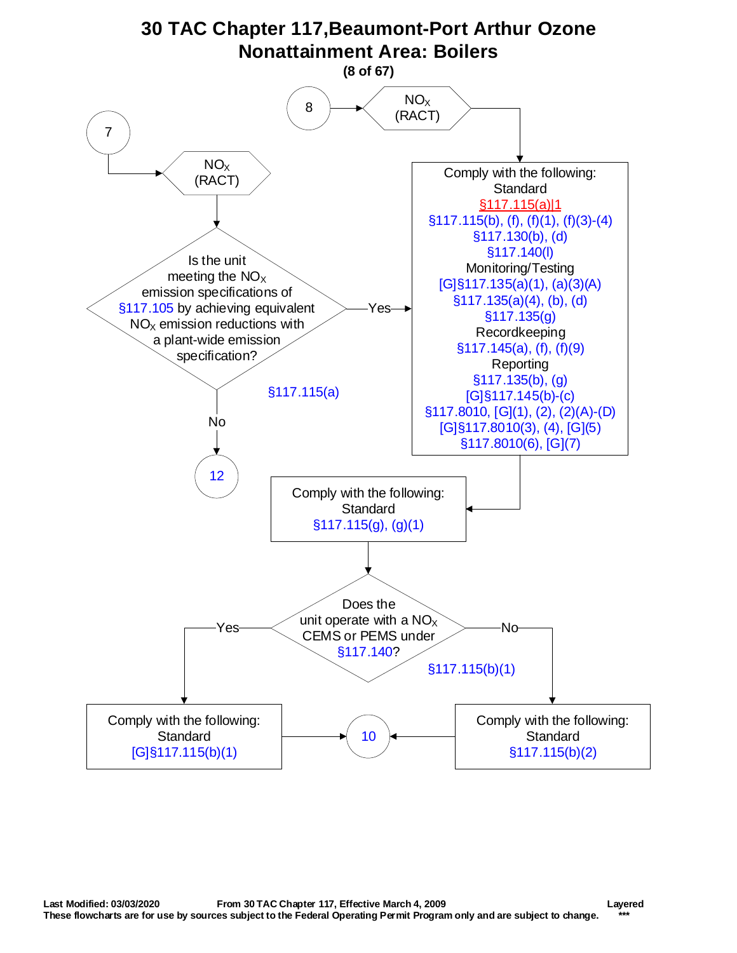<span id="page-7-0"></span>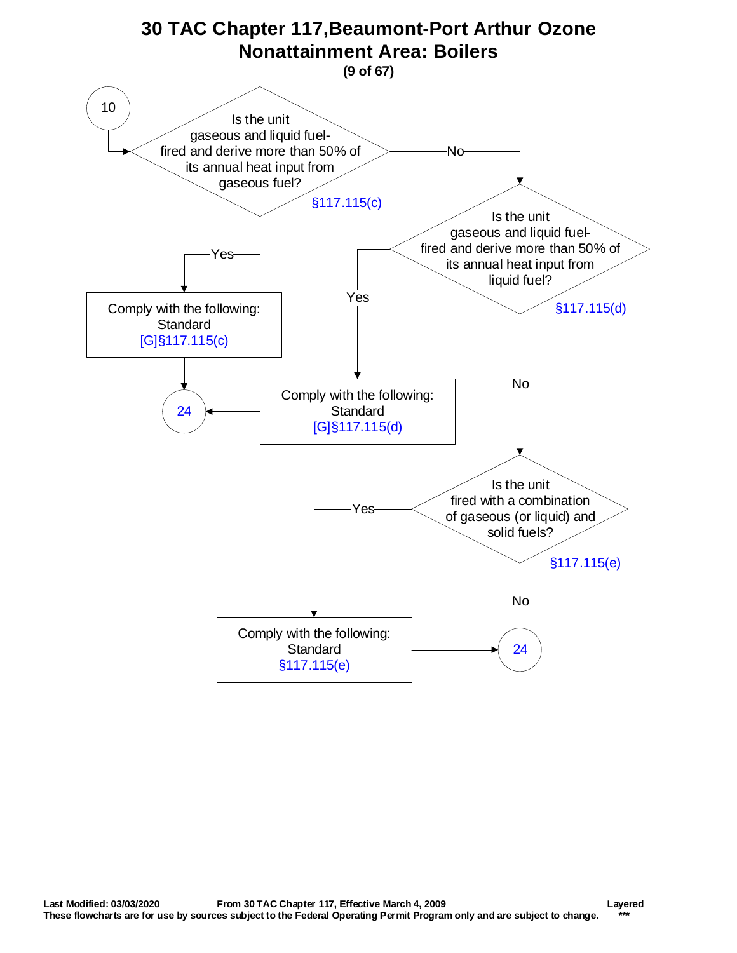<span id="page-8-0"></span>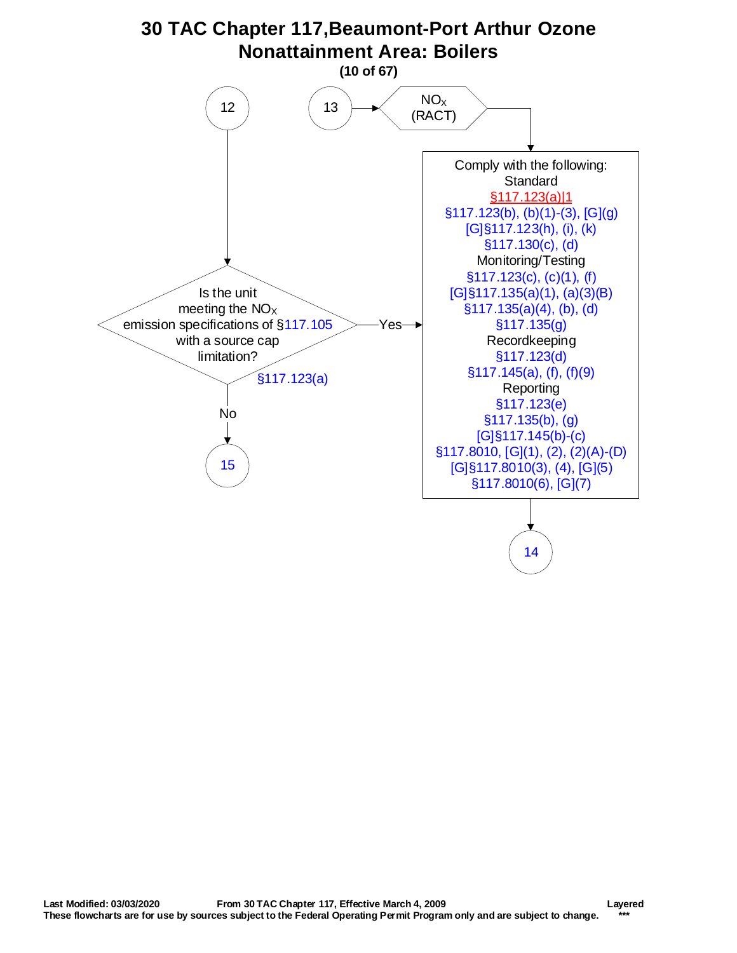<span id="page-9-0"></span>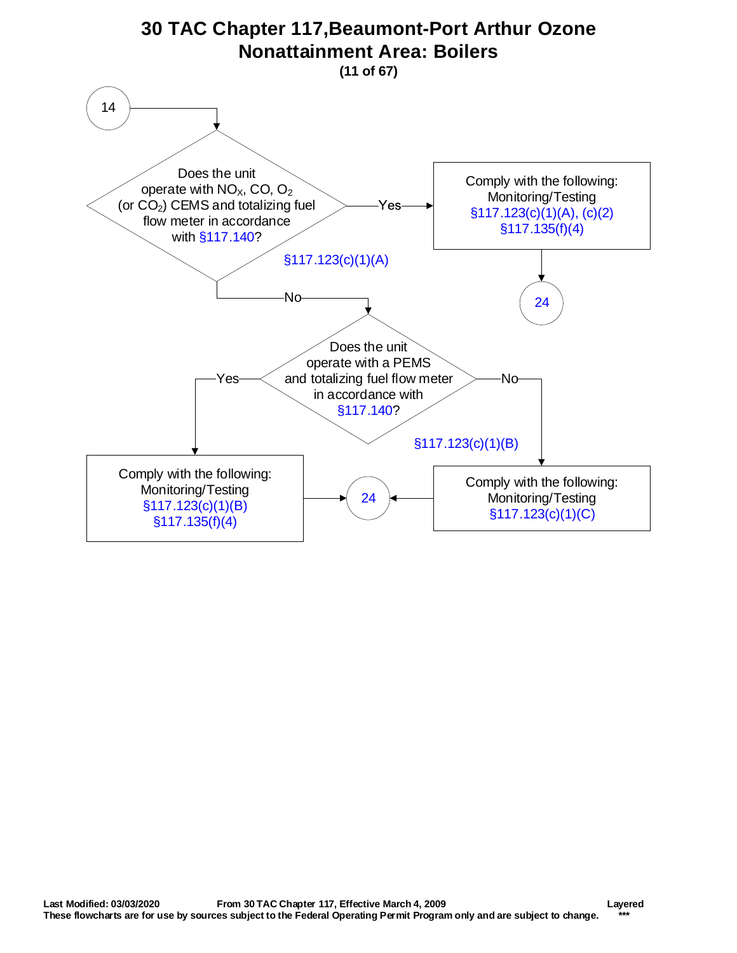<span id="page-10-0"></span>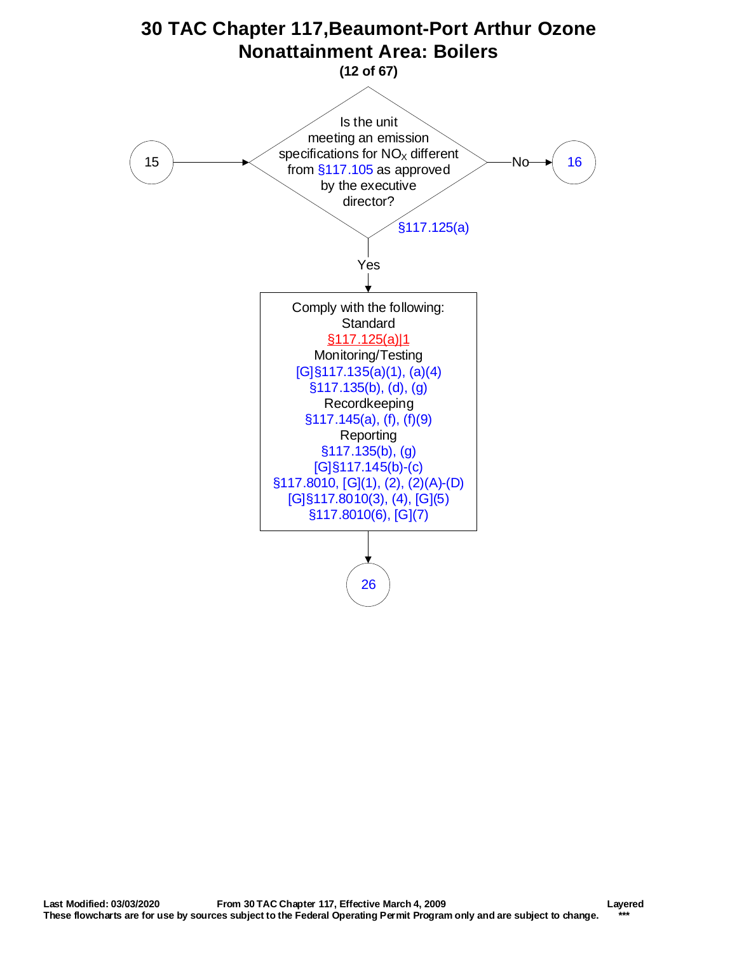<span id="page-11-0"></span>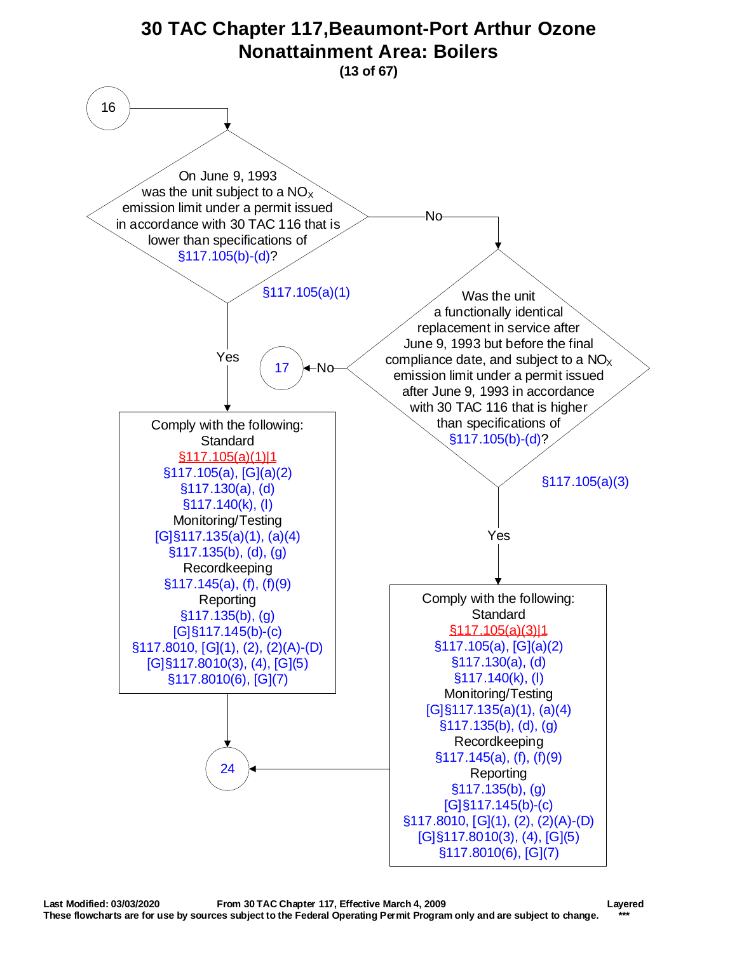<span id="page-12-0"></span>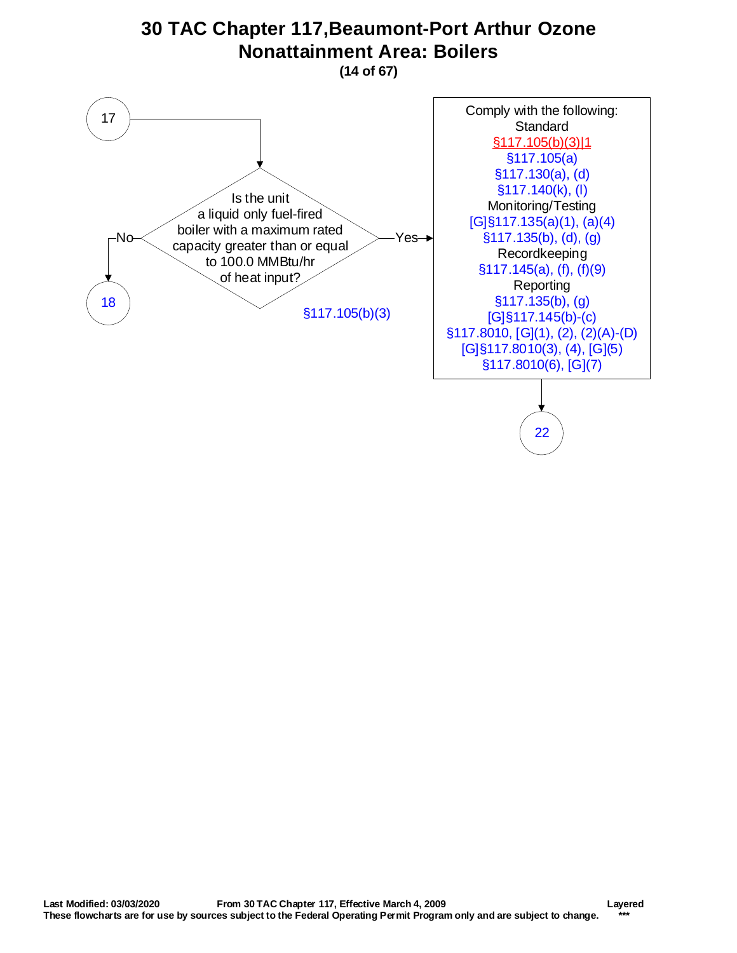## **30 TAC Chapter 117,Beaumont-Port Arthur Ozone Nonattainment Area: Boilers**

**(14 of 67)**

<span id="page-13-0"></span>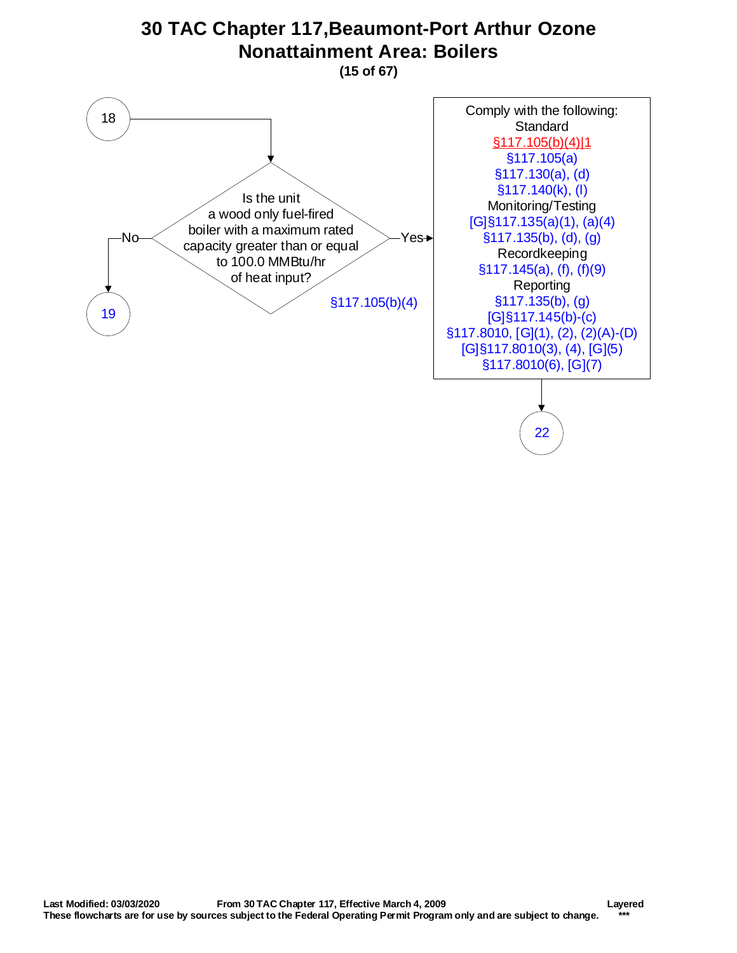<span id="page-14-0"></span>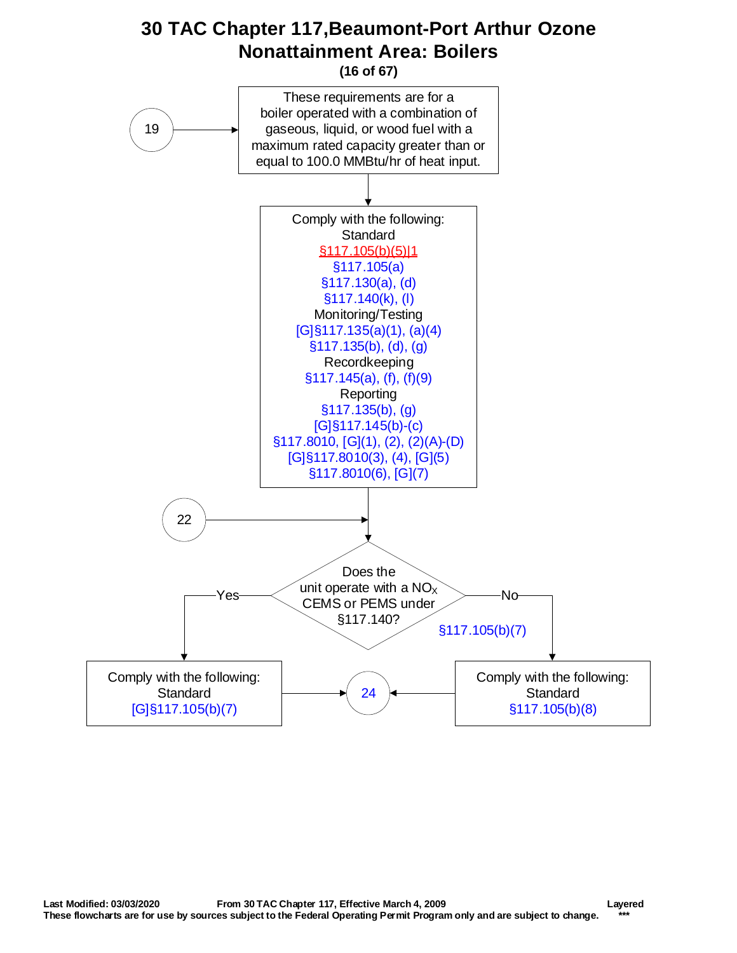## **30 TAC Chapter 117,Beaumont-Port Arthur Ozone Nonattainment Area: Boilers**

**(16 of 67)**

<span id="page-15-0"></span>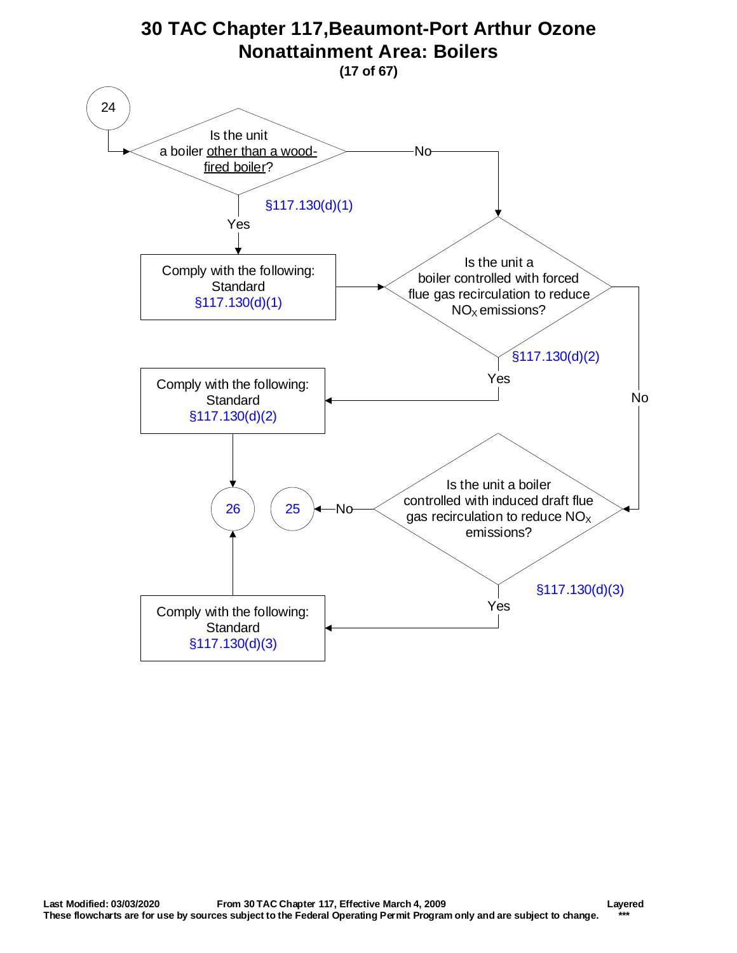<span id="page-16-0"></span>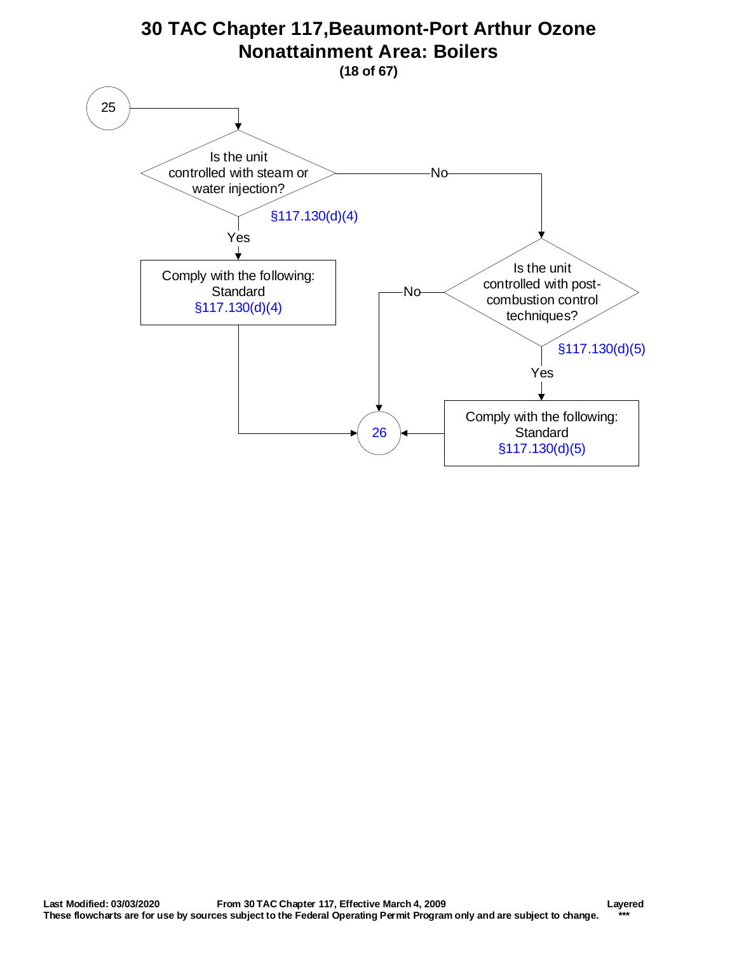<span id="page-17-0"></span>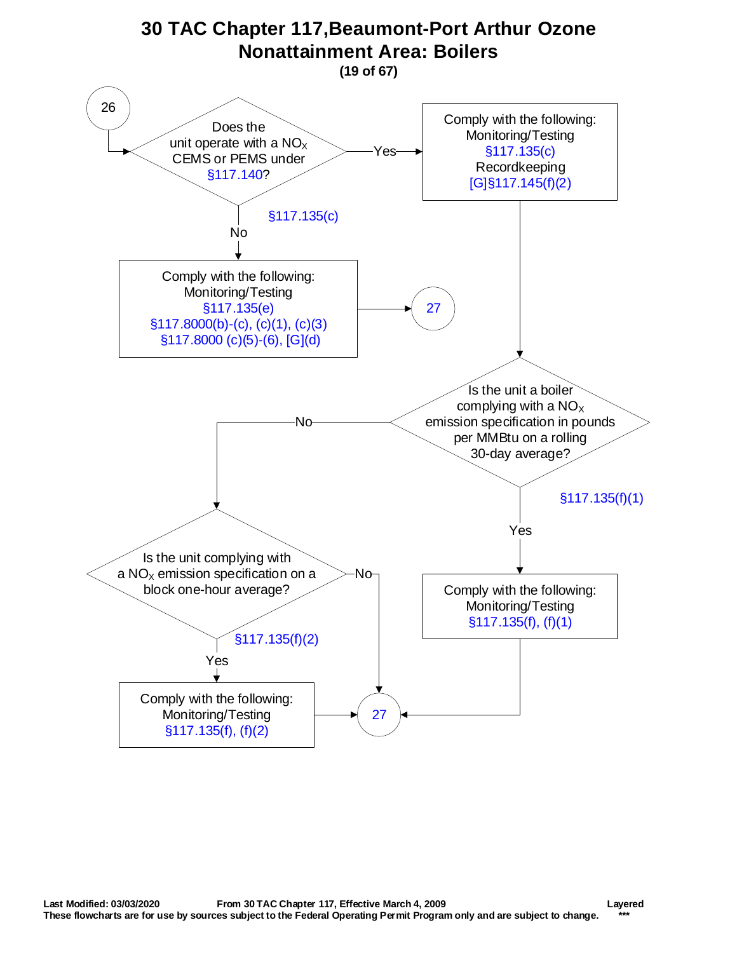<span id="page-18-0"></span>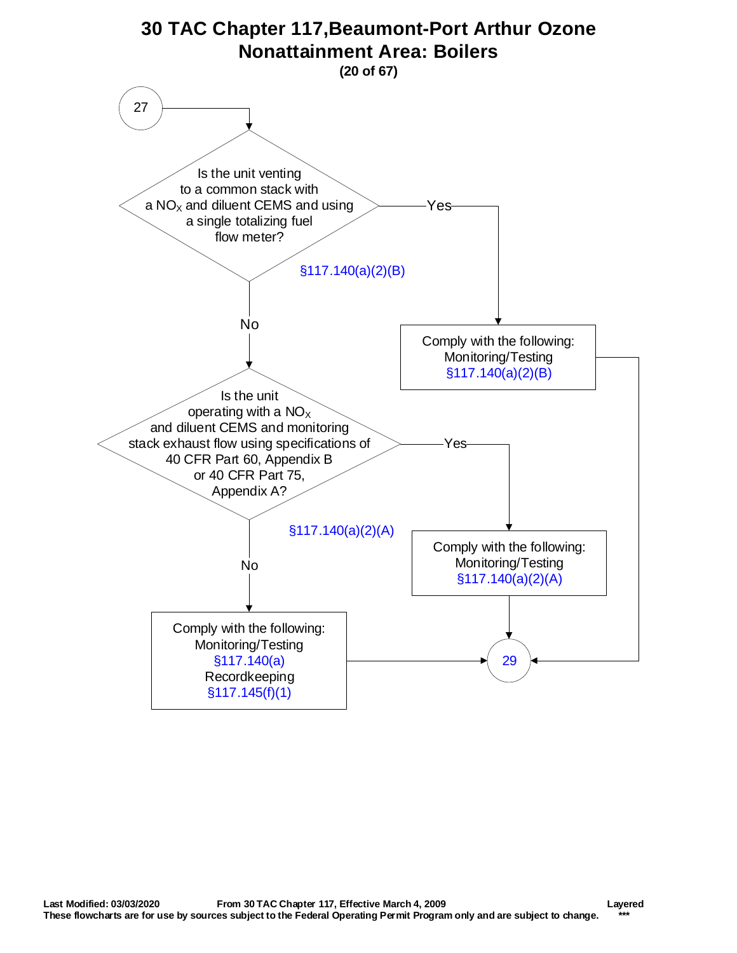<span id="page-19-0"></span>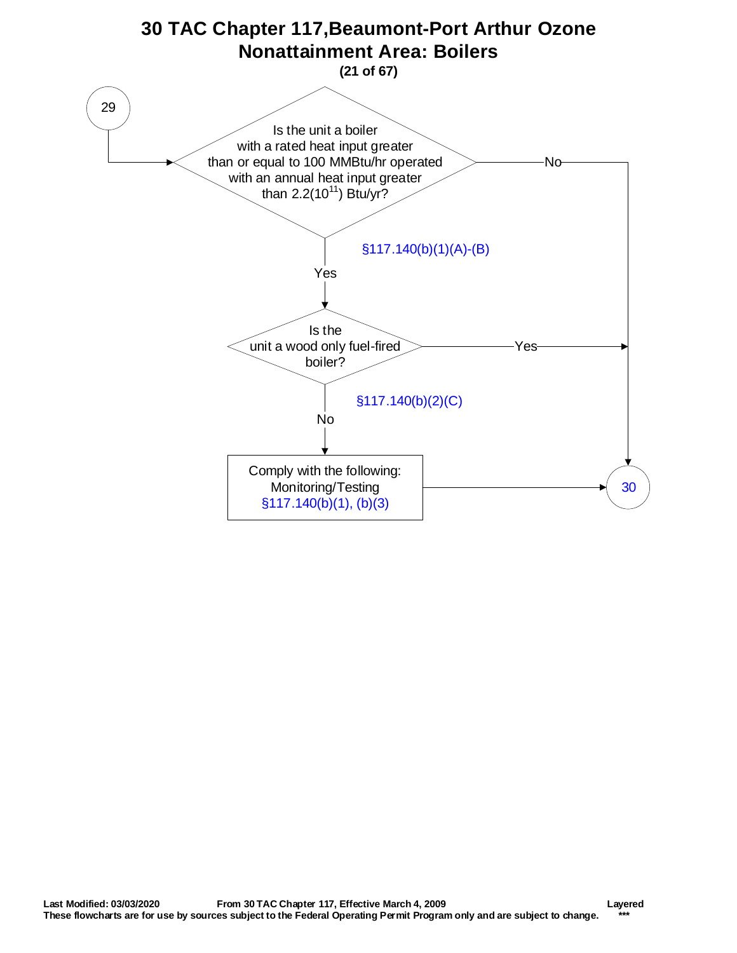<span id="page-20-0"></span>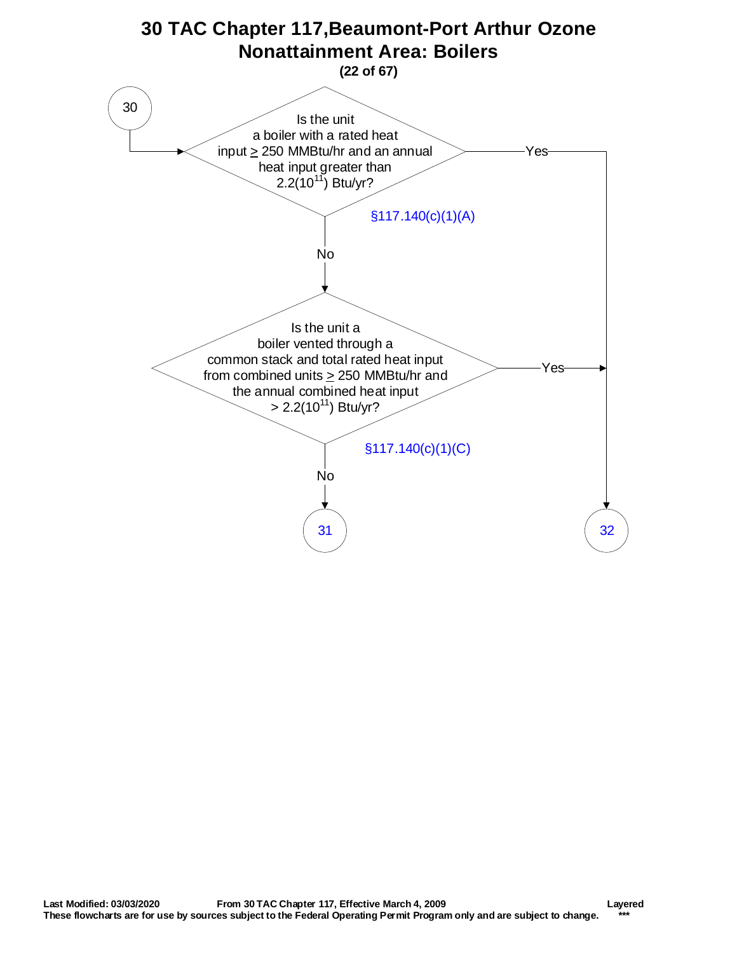<span id="page-21-0"></span>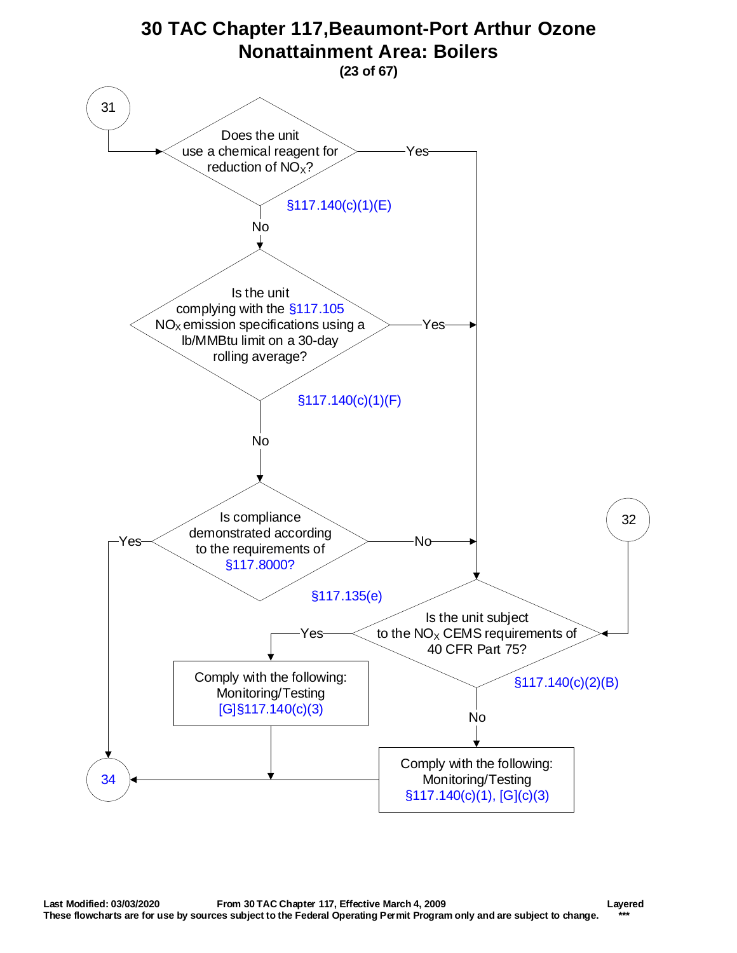<span id="page-22-0"></span>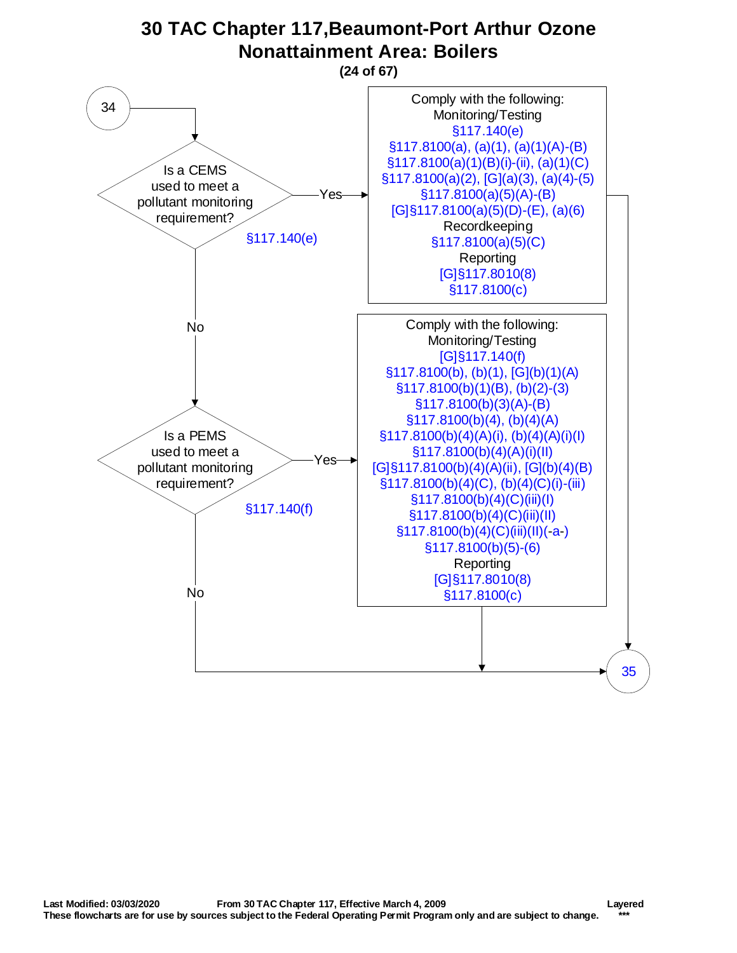<span id="page-23-0"></span>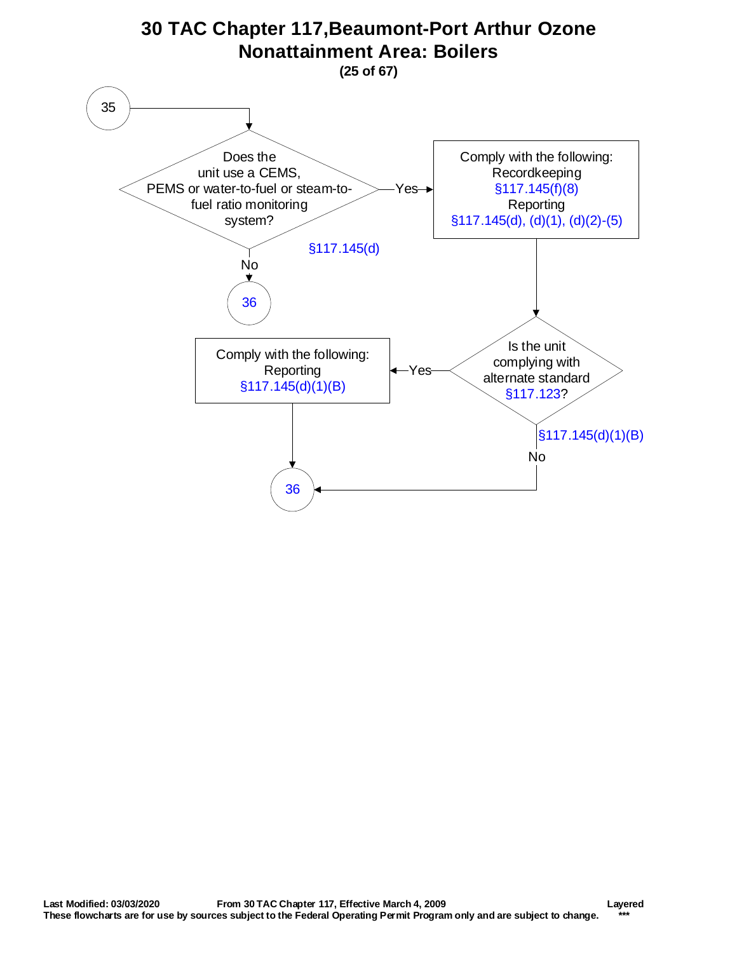<span id="page-24-0"></span>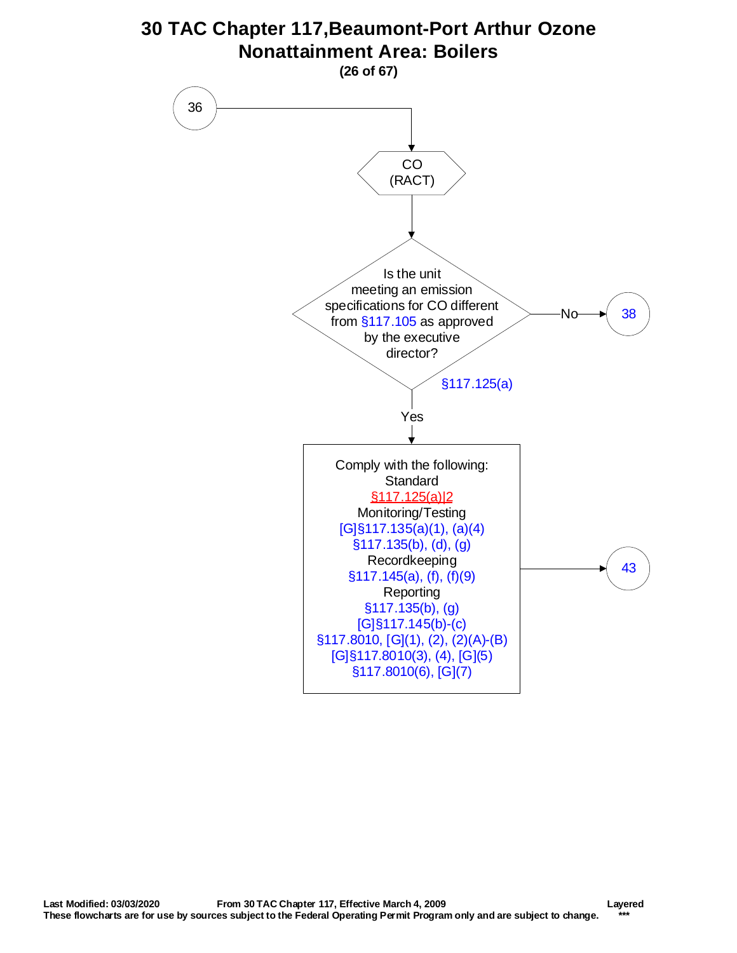<span id="page-25-0"></span>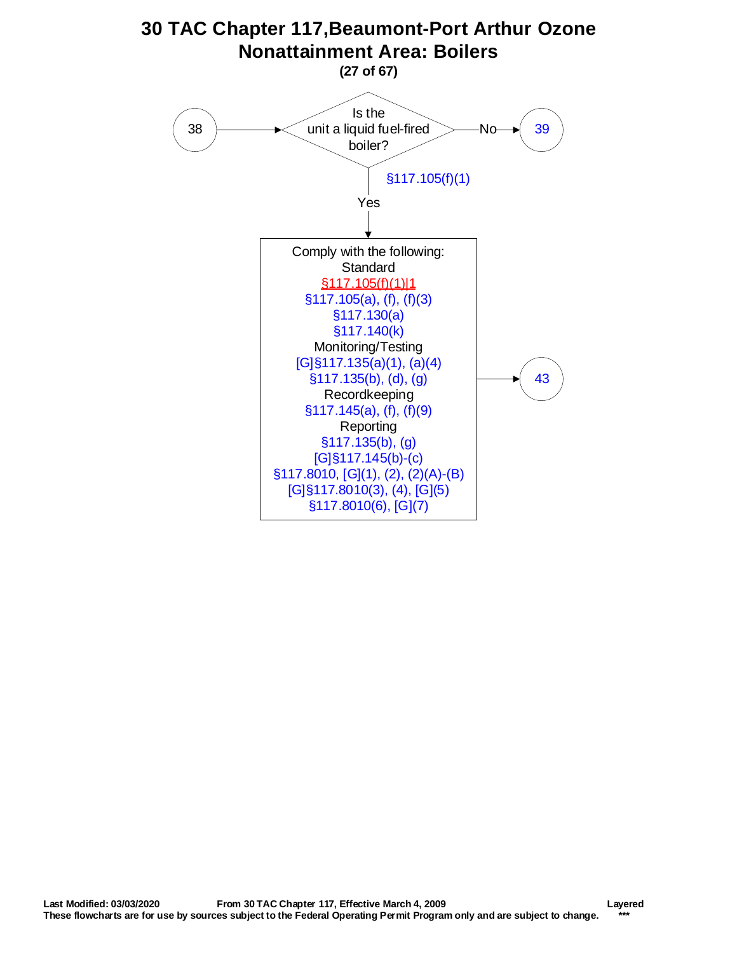<span id="page-26-0"></span>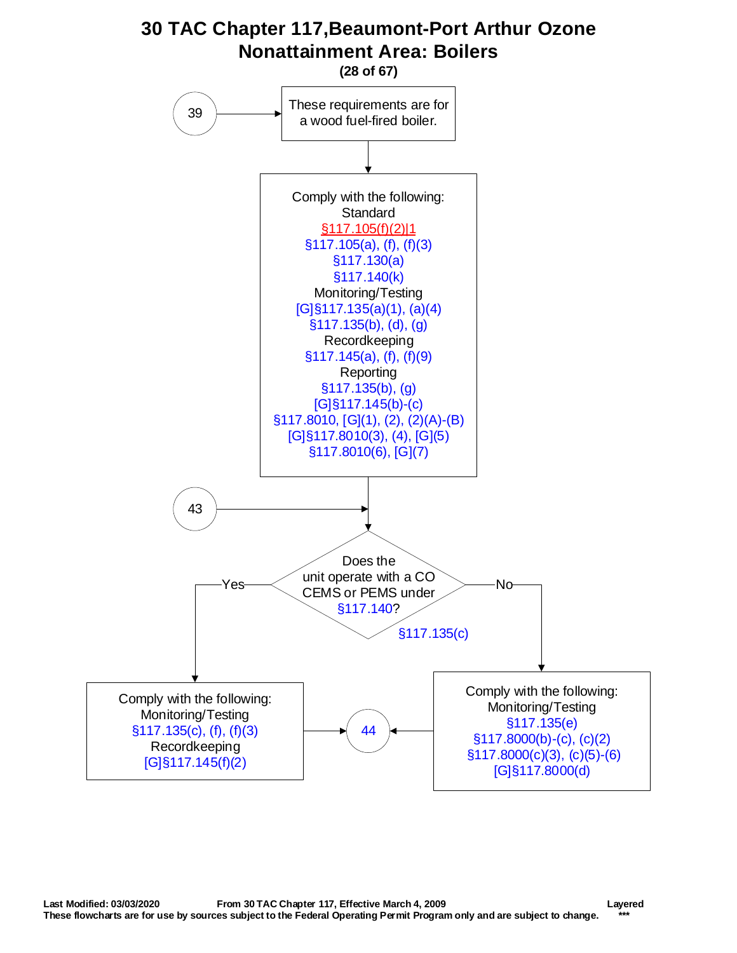<span id="page-27-0"></span>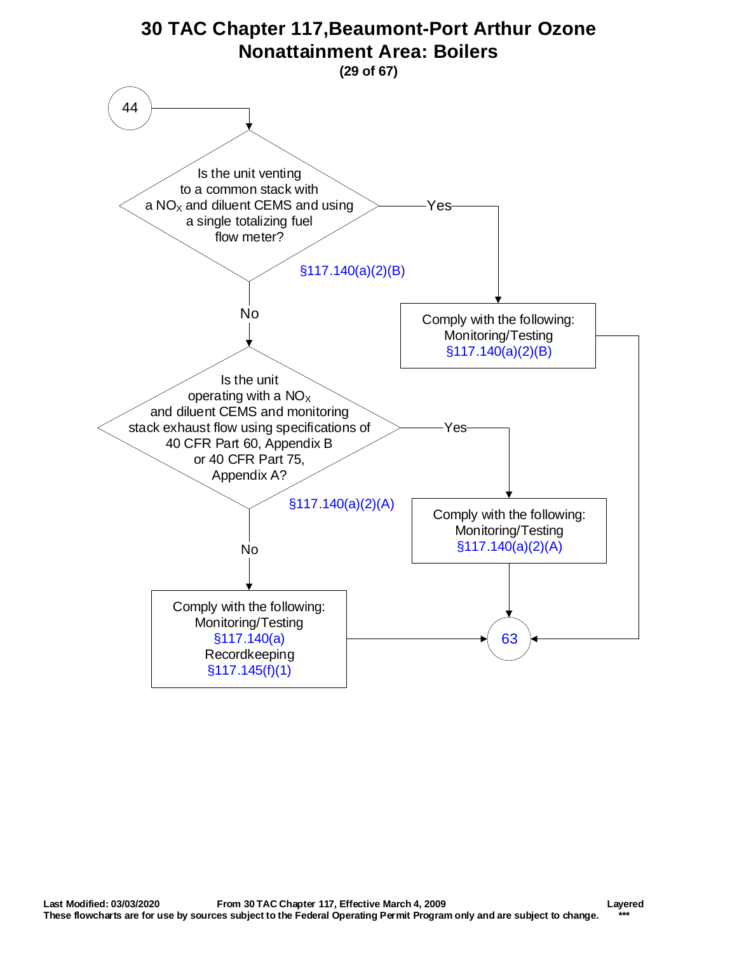<span id="page-28-0"></span>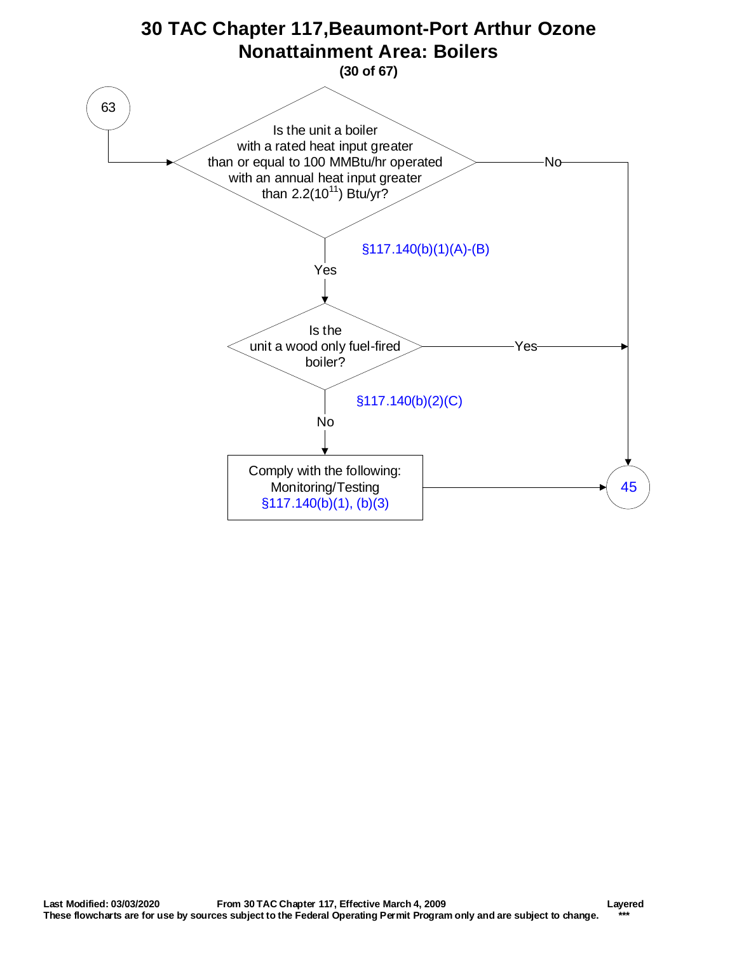<span id="page-29-0"></span>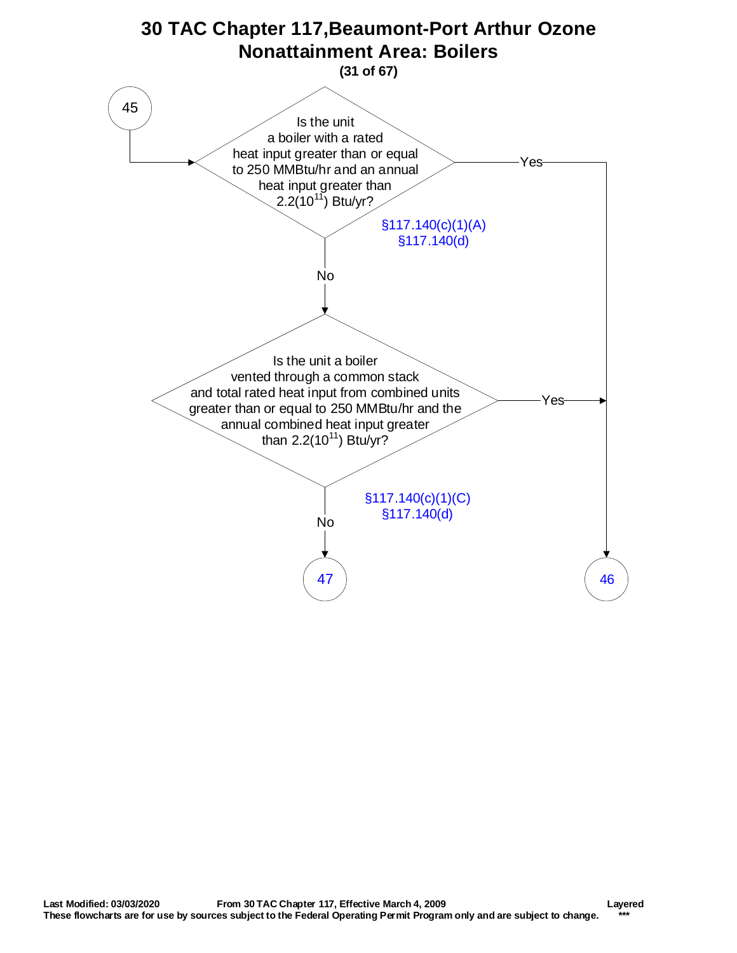<span id="page-30-0"></span>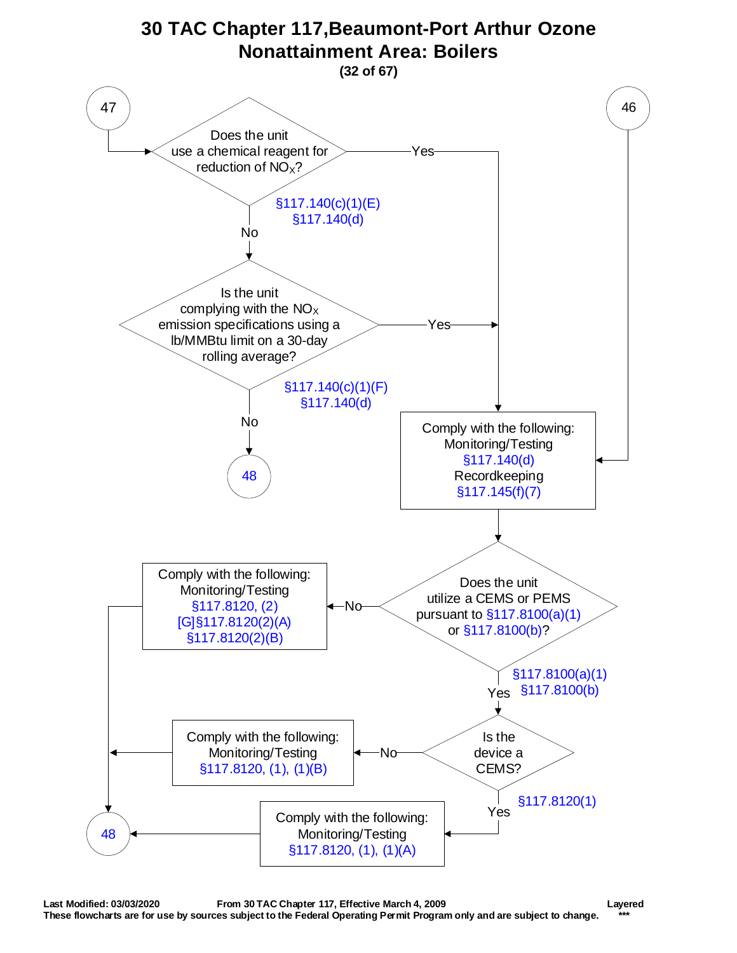<span id="page-31-0"></span>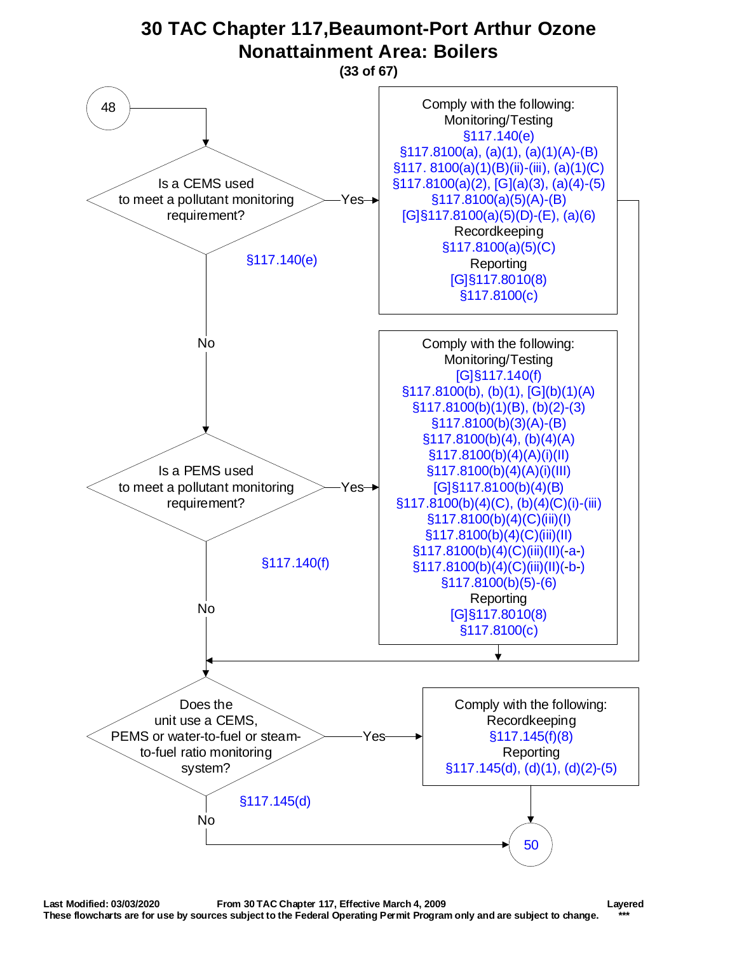<span id="page-32-0"></span>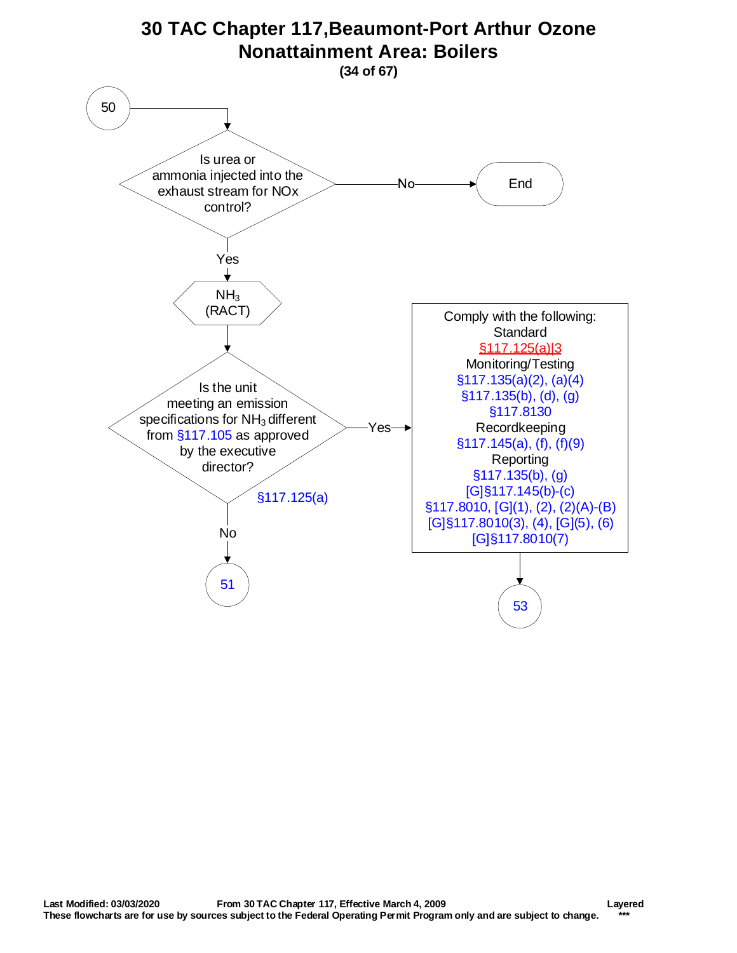<span id="page-33-0"></span>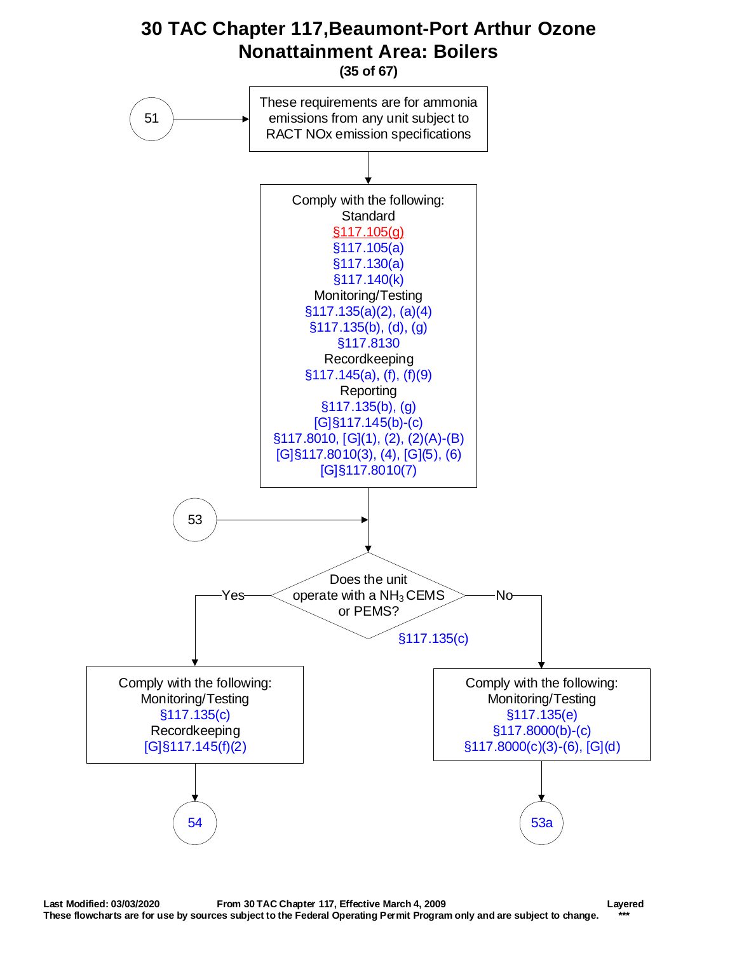<span id="page-34-0"></span>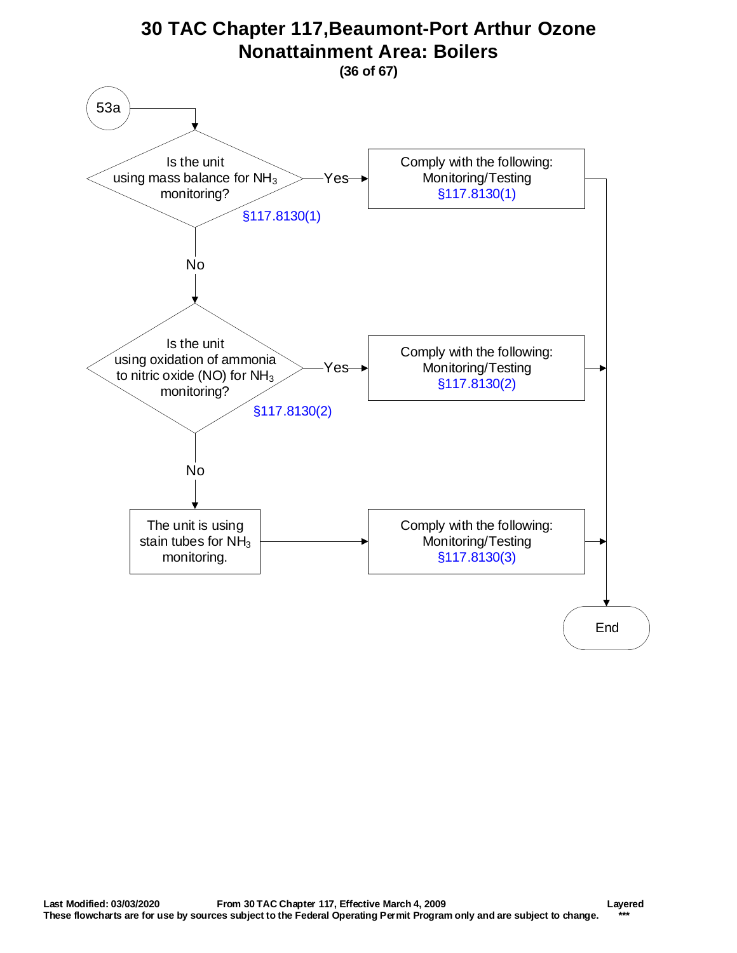<span id="page-35-0"></span>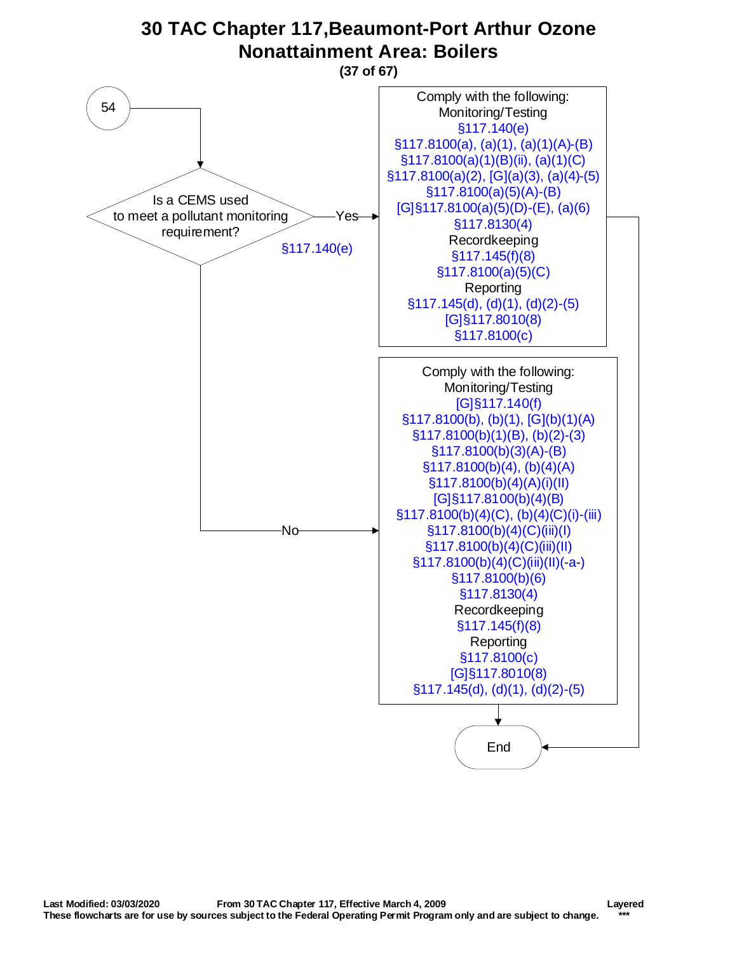<span id="page-36-0"></span>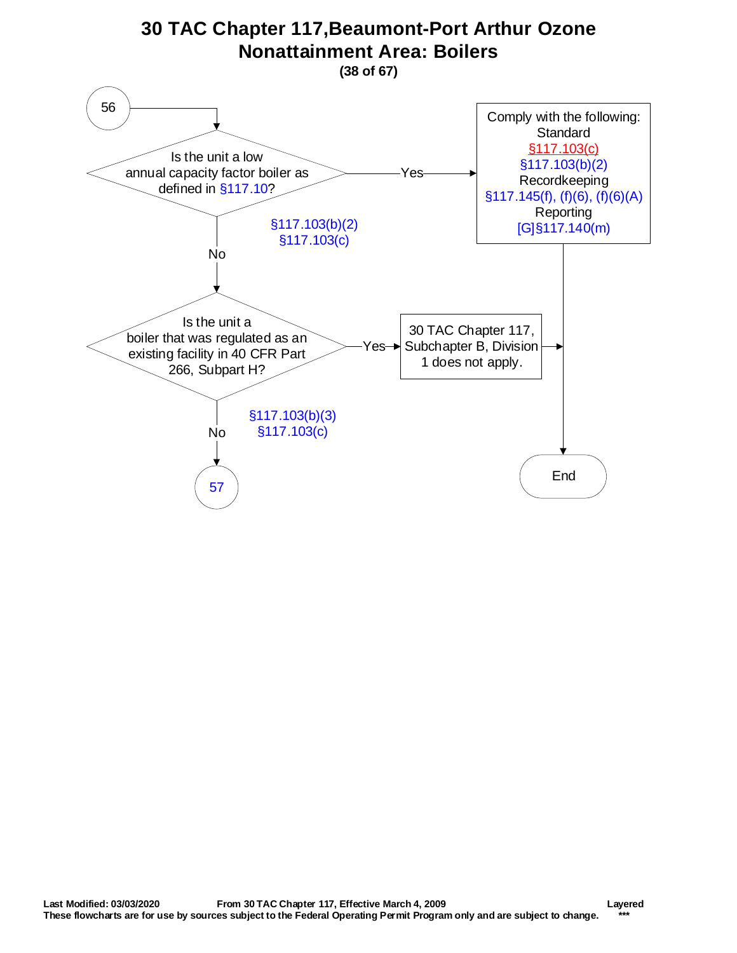<span id="page-37-0"></span>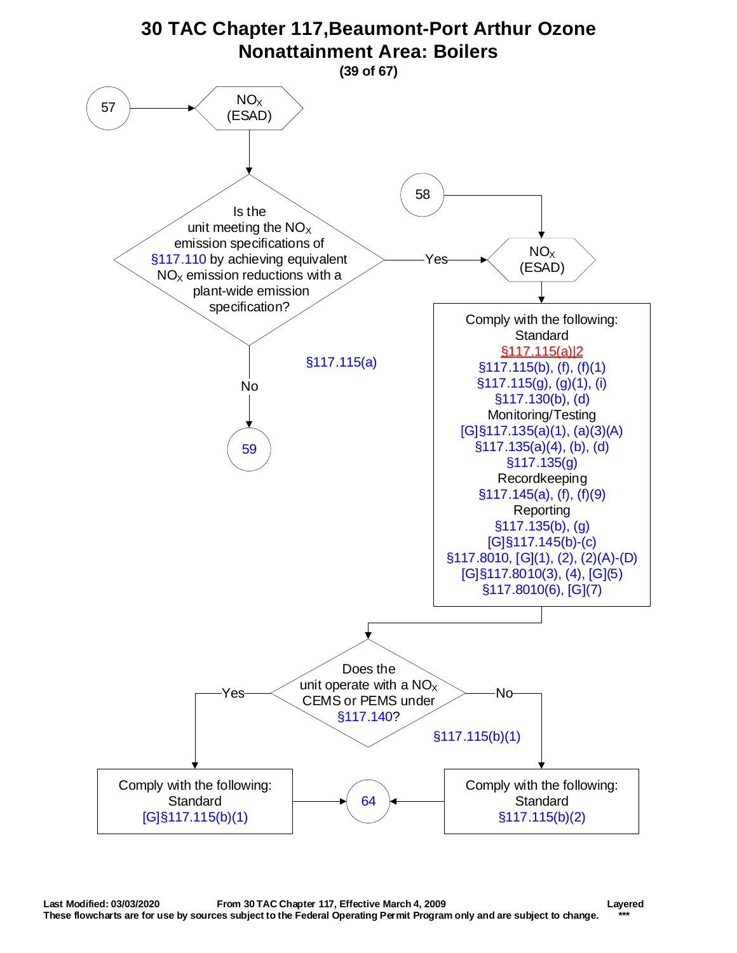<span id="page-38-0"></span>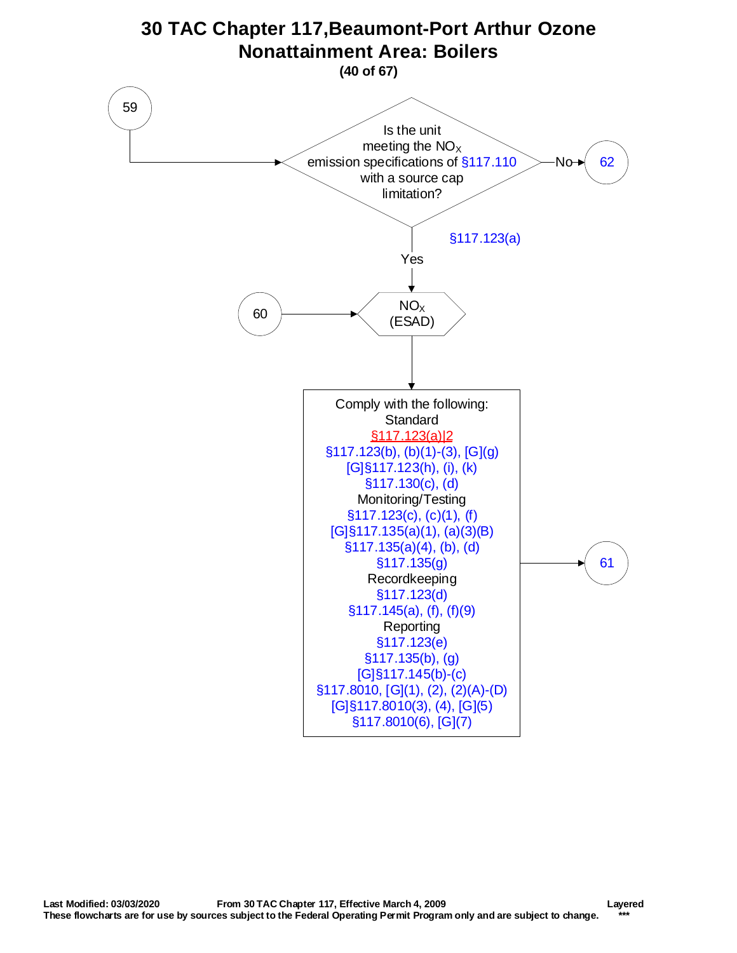<span id="page-39-0"></span>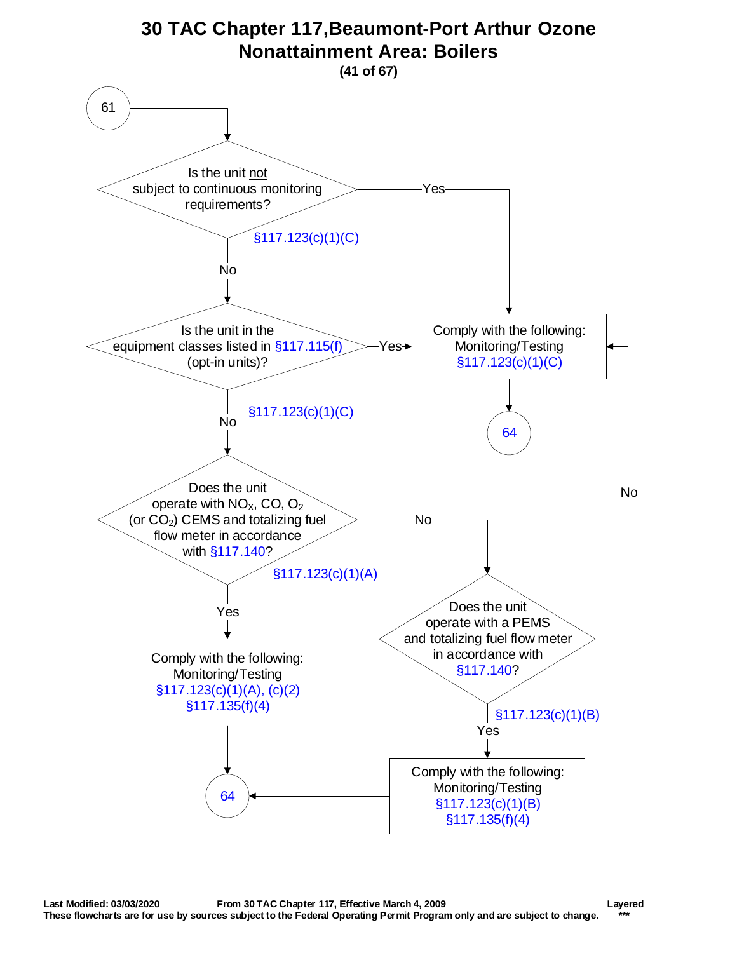<span id="page-40-0"></span>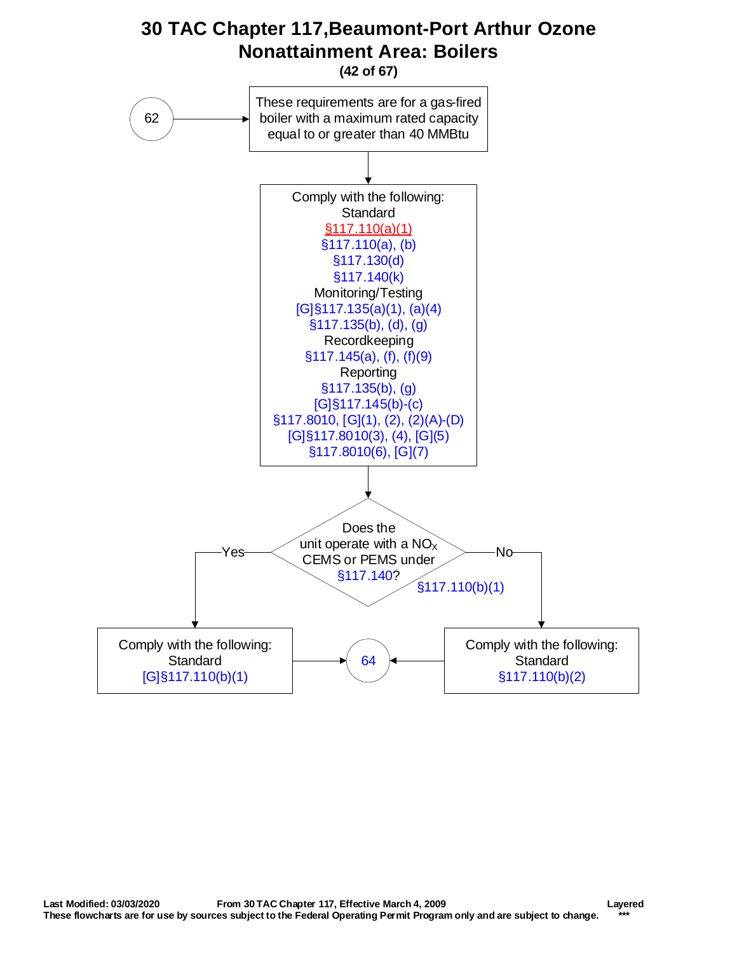<span id="page-41-0"></span>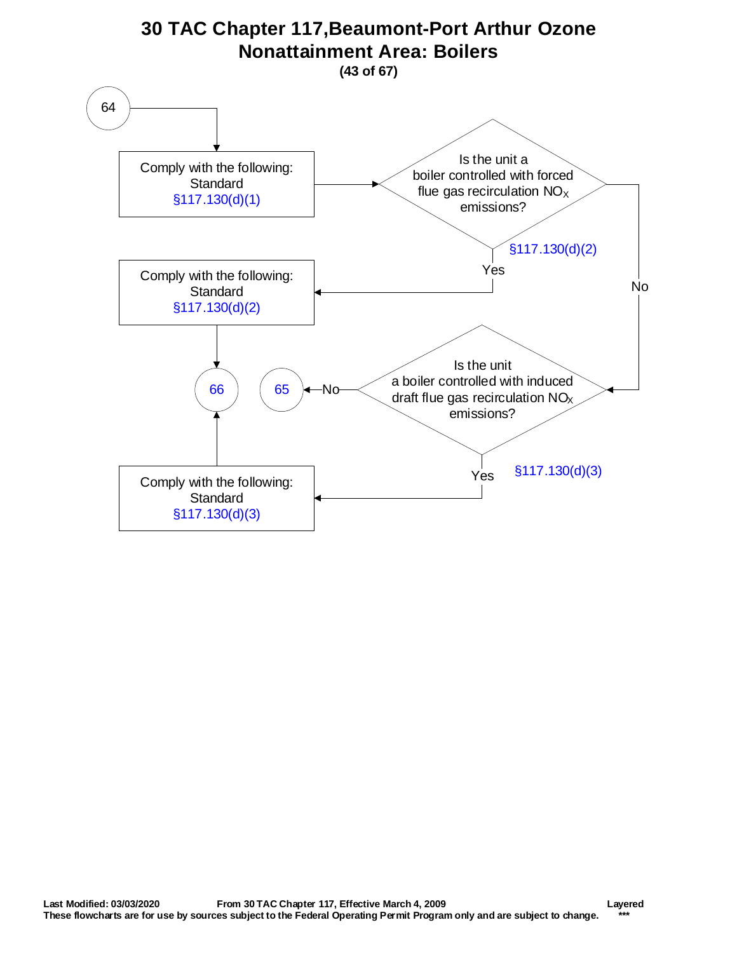<span id="page-42-0"></span>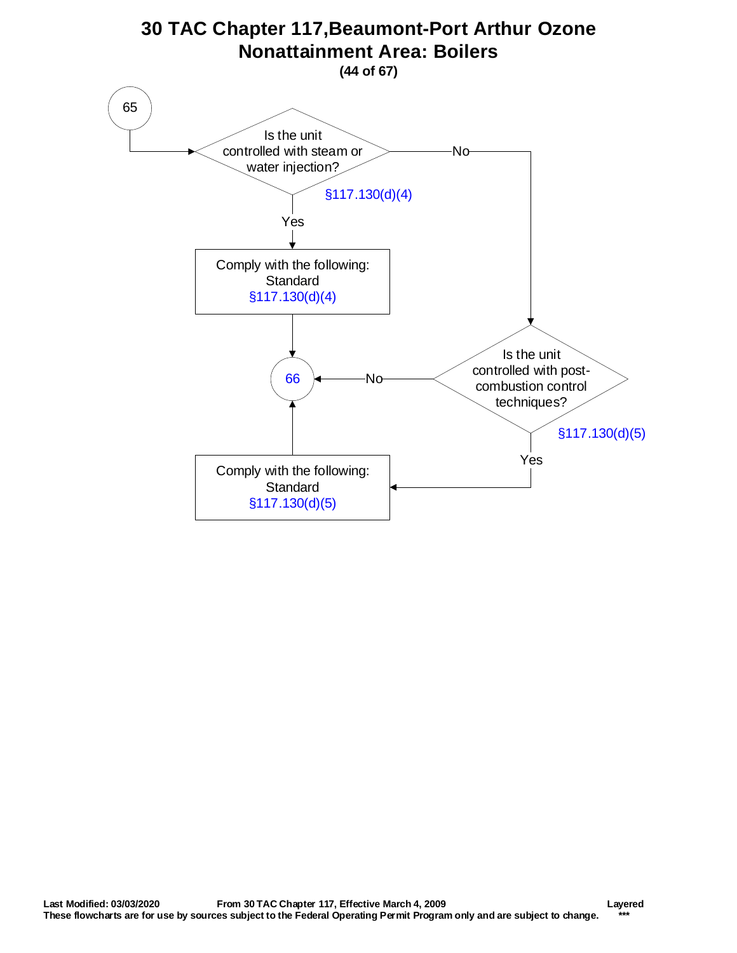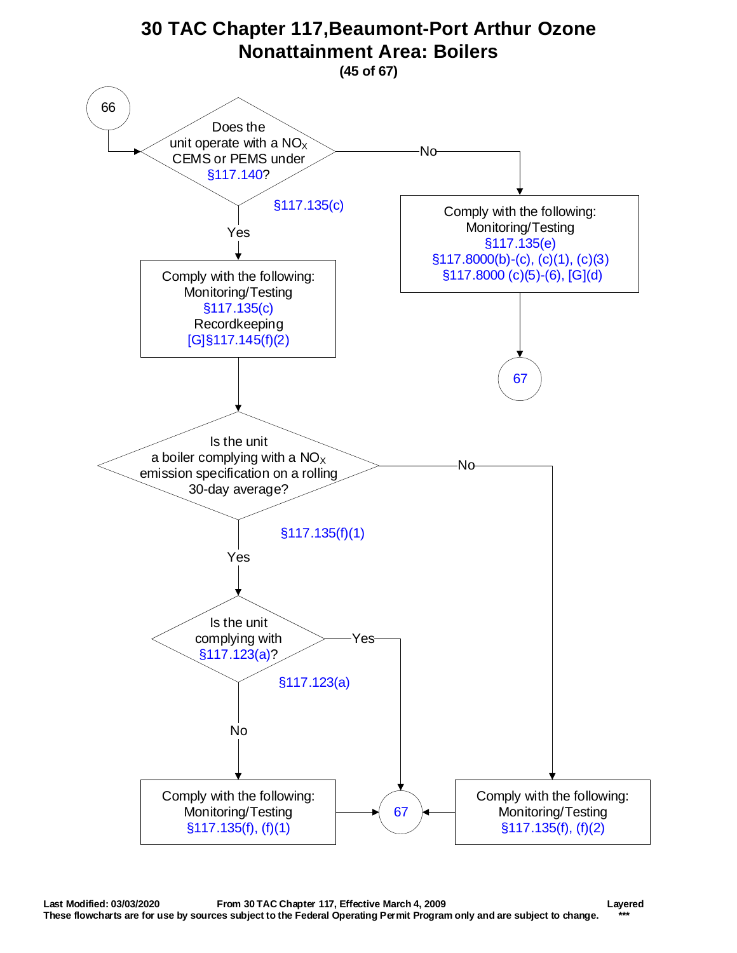<span id="page-44-0"></span>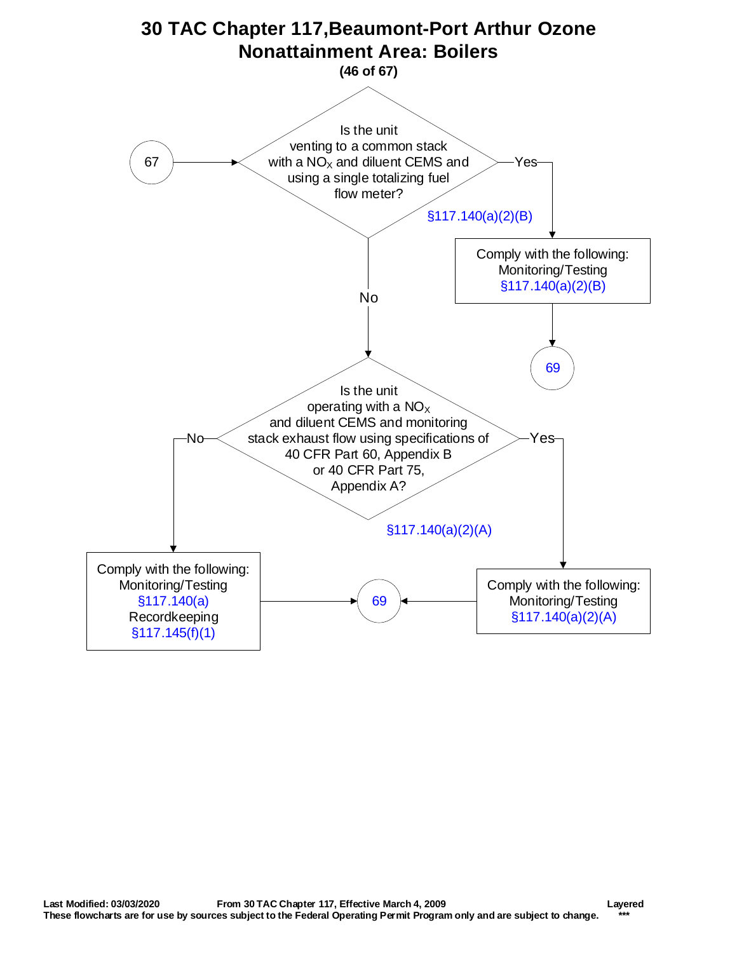<span id="page-45-0"></span>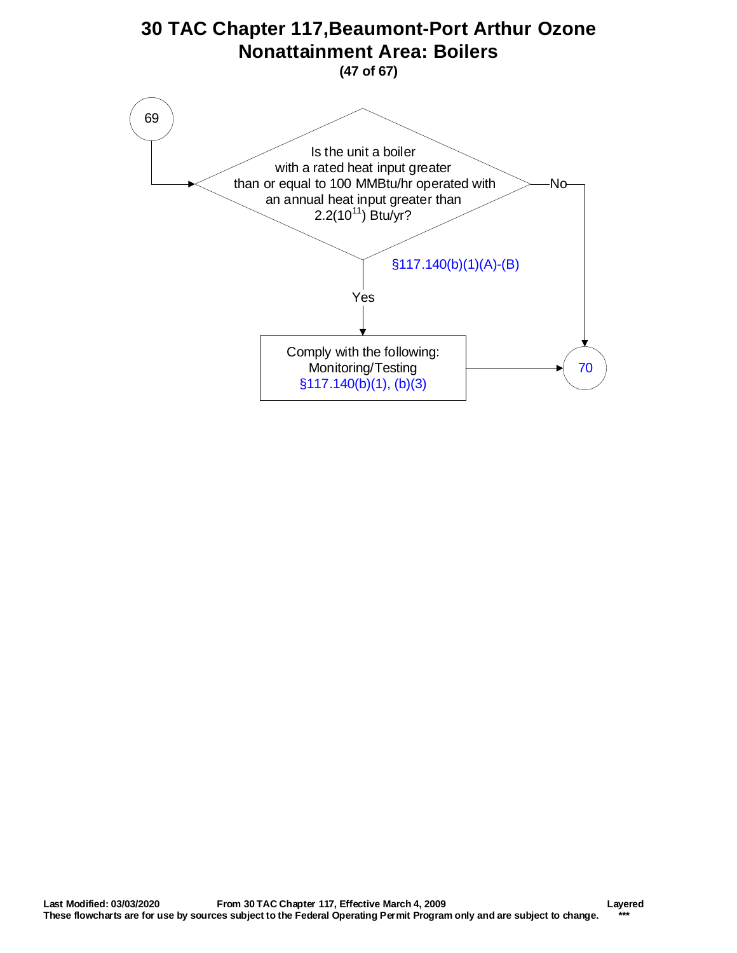<span id="page-46-0"></span>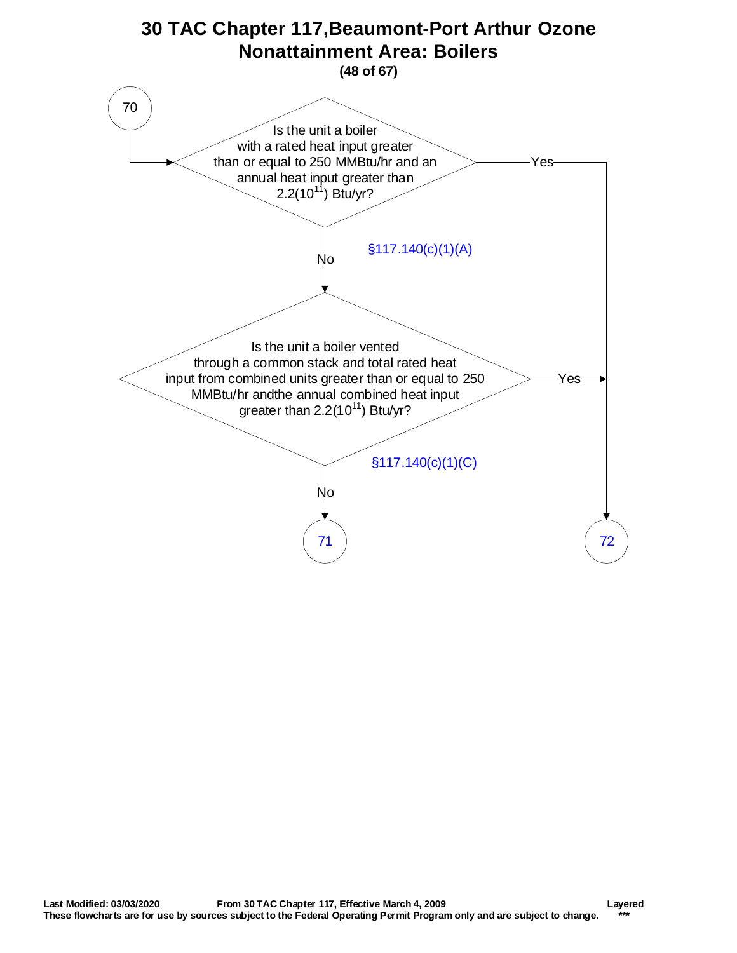<span id="page-47-0"></span>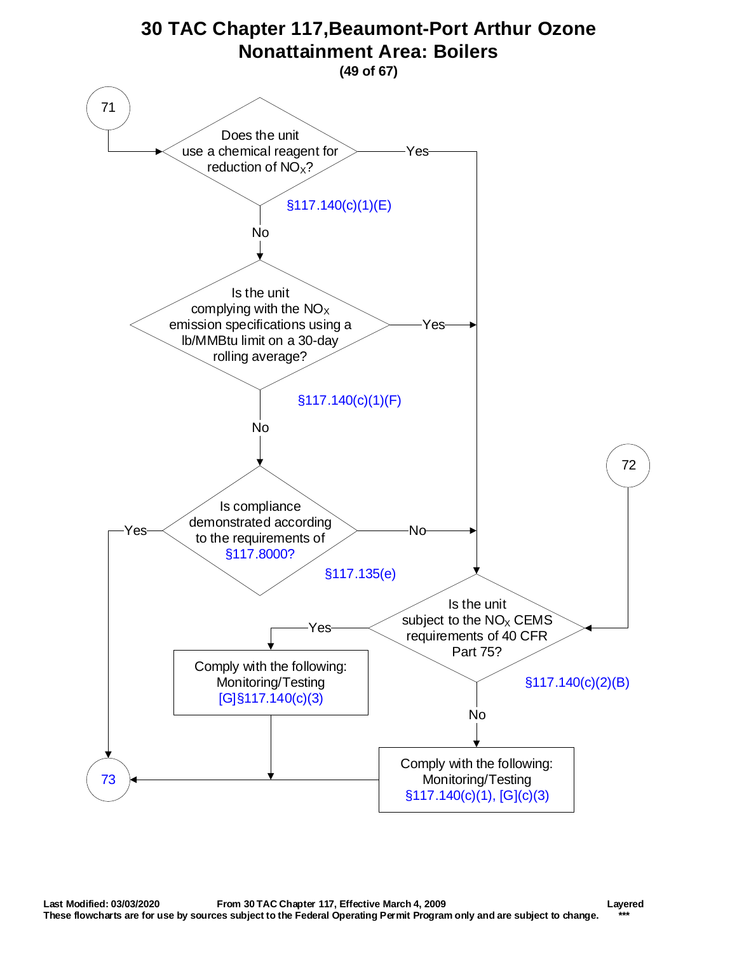<span id="page-48-0"></span>![](_page_48_Figure_0.jpeg)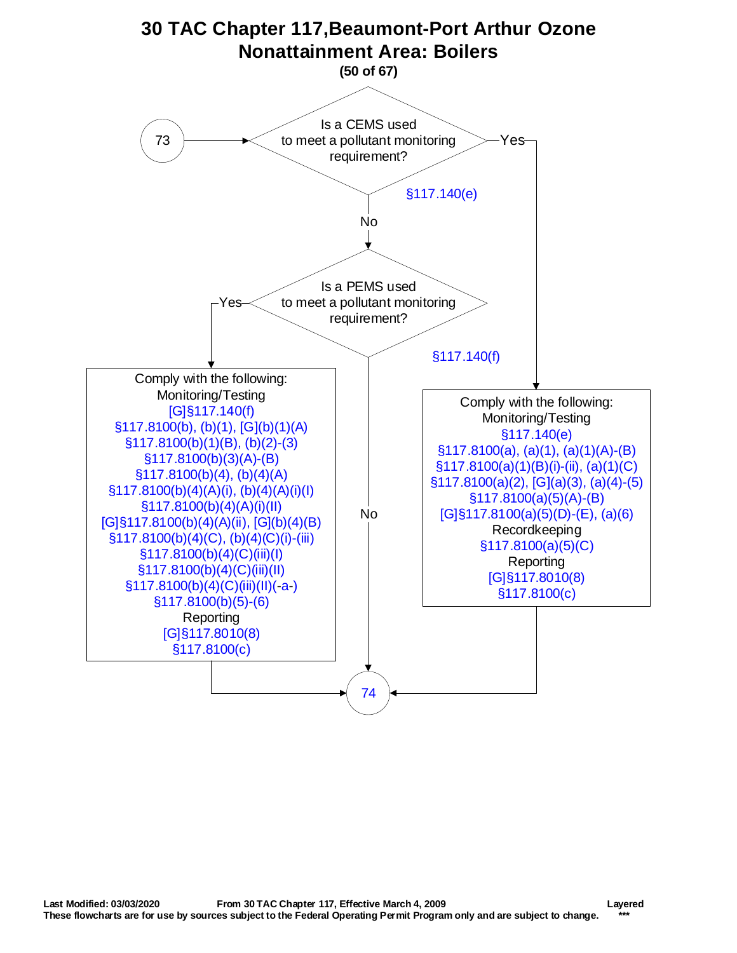<span id="page-49-0"></span>![](_page_49_Figure_0.jpeg)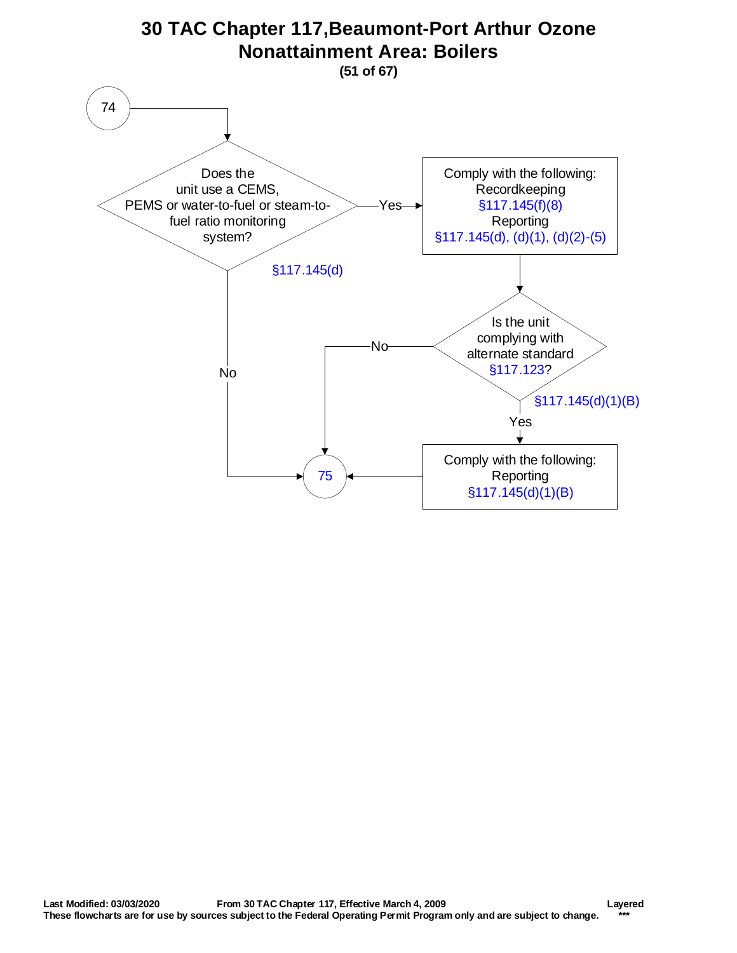<span id="page-50-0"></span>![](_page_50_Figure_0.jpeg)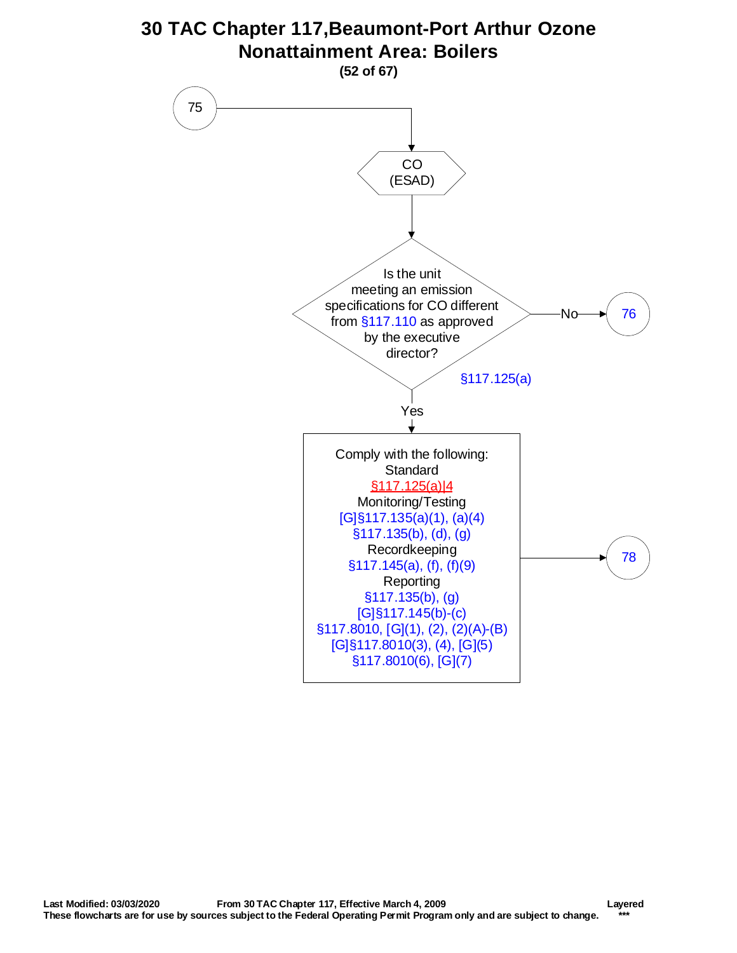<span id="page-51-0"></span>![](_page_51_Figure_0.jpeg)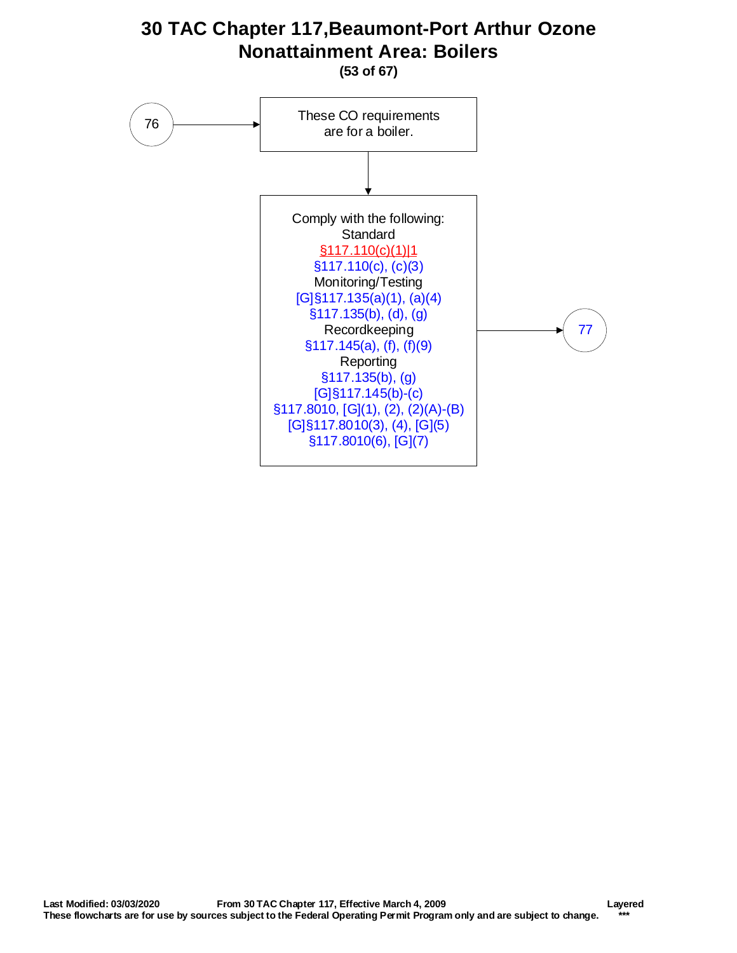<span id="page-52-0"></span>![](_page_52_Figure_0.jpeg)

**(53 of 67)**

![](_page_52_Figure_2.jpeg)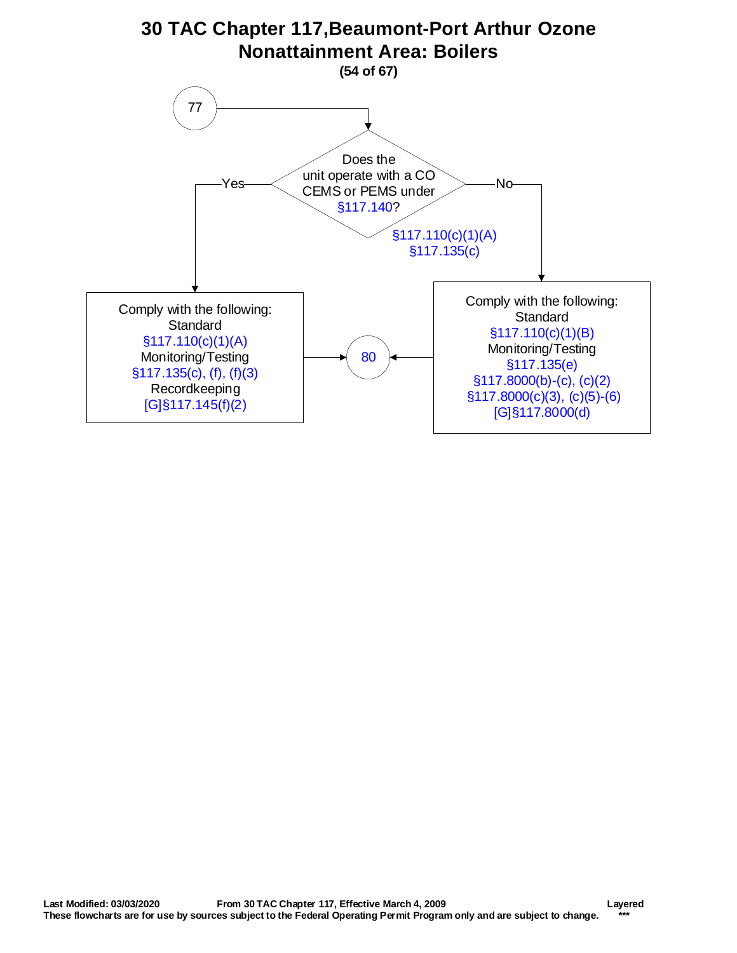<span id="page-53-0"></span>![](_page_53_Figure_0.jpeg)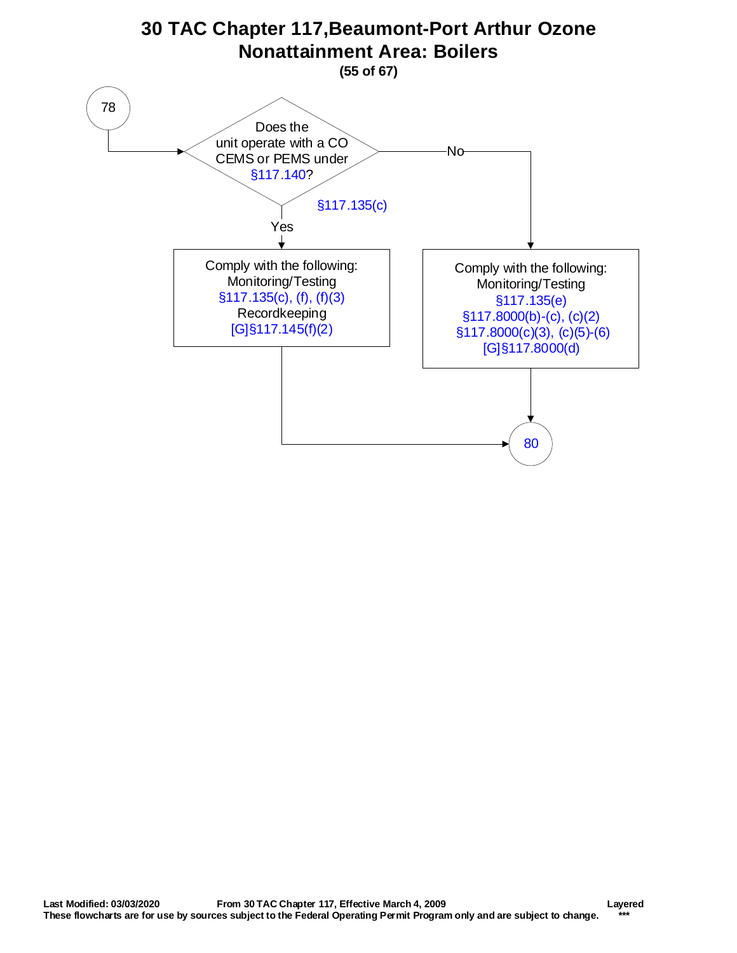<span id="page-54-0"></span>![](_page_54_Figure_0.jpeg)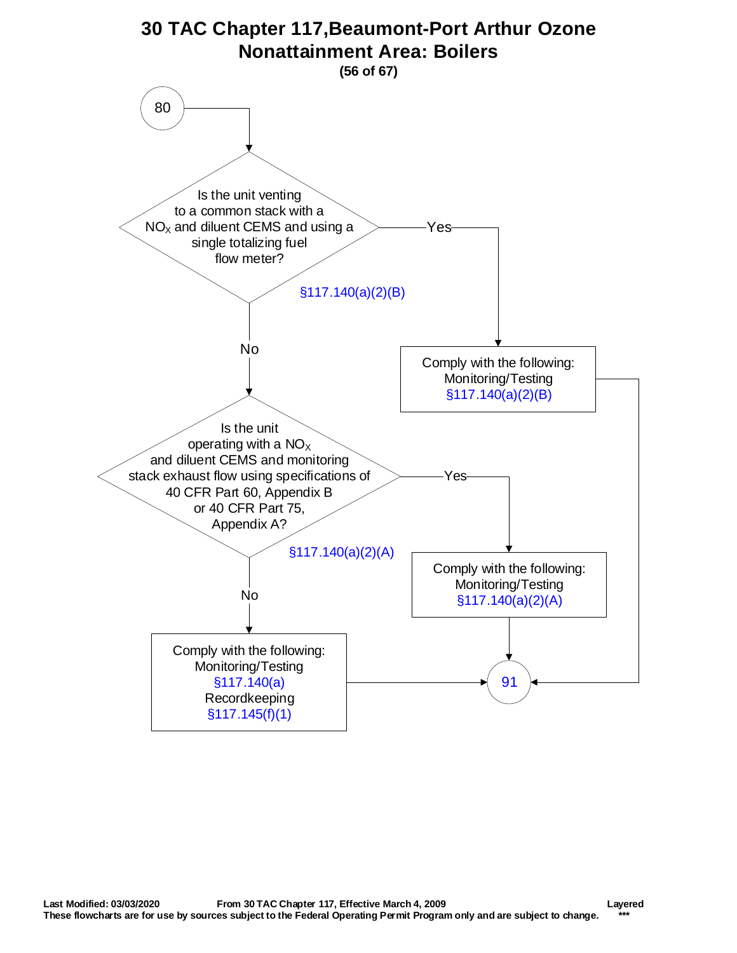<span id="page-55-0"></span>![](_page_55_Figure_0.jpeg)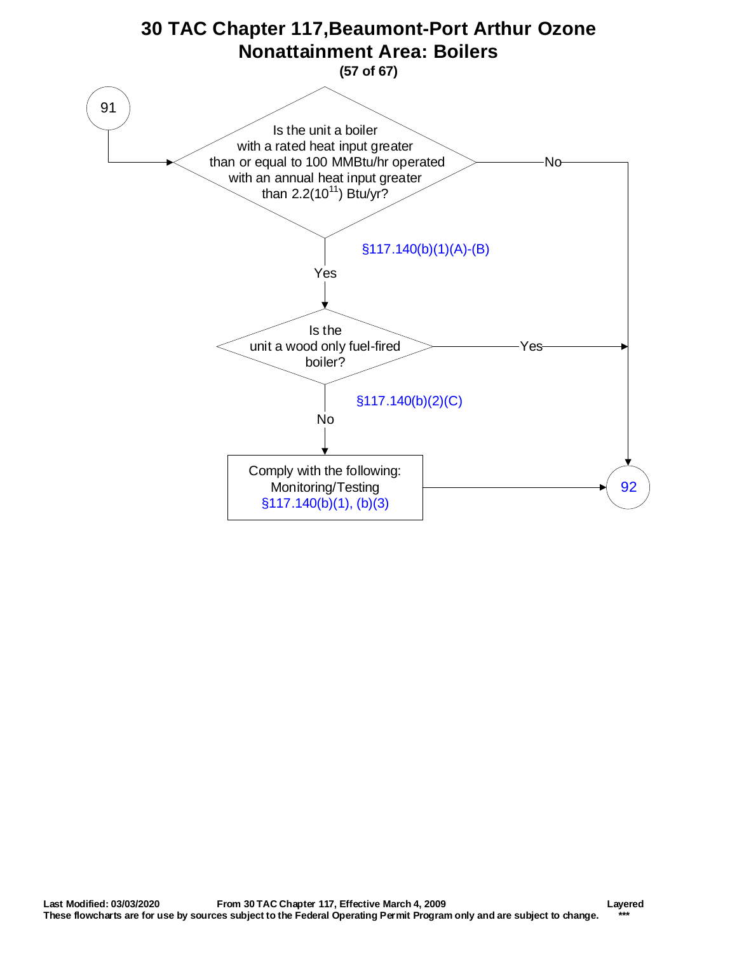<span id="page-56-0"></span>![](_page_56_Figure_0.jpeg)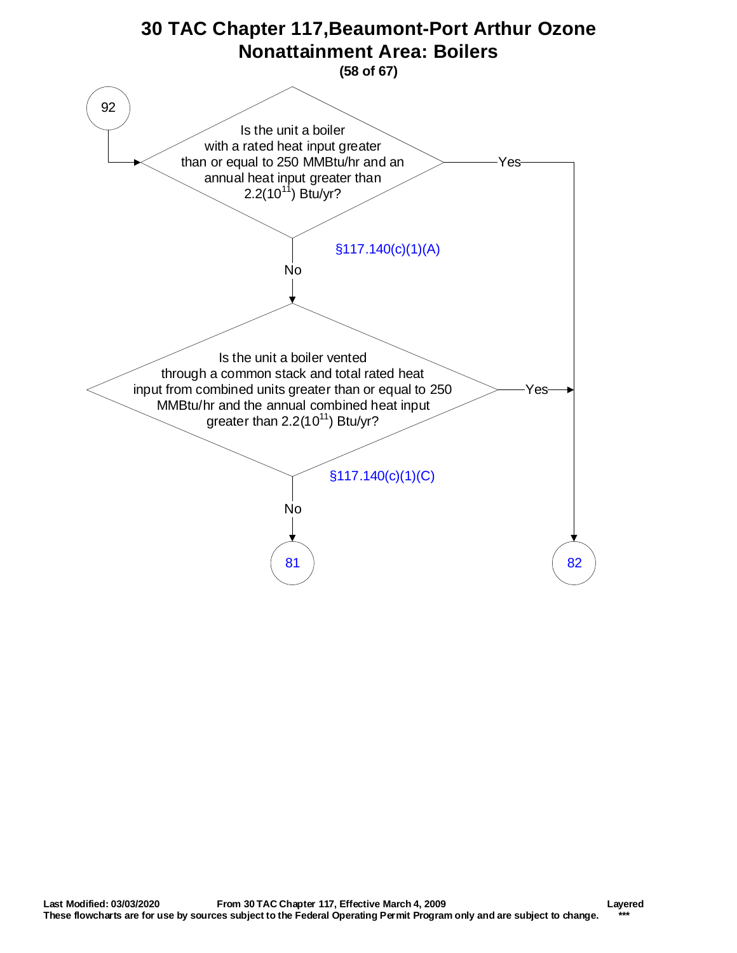<span id="page-57-0"></span>![](_page_57_Figure_0.jpeg)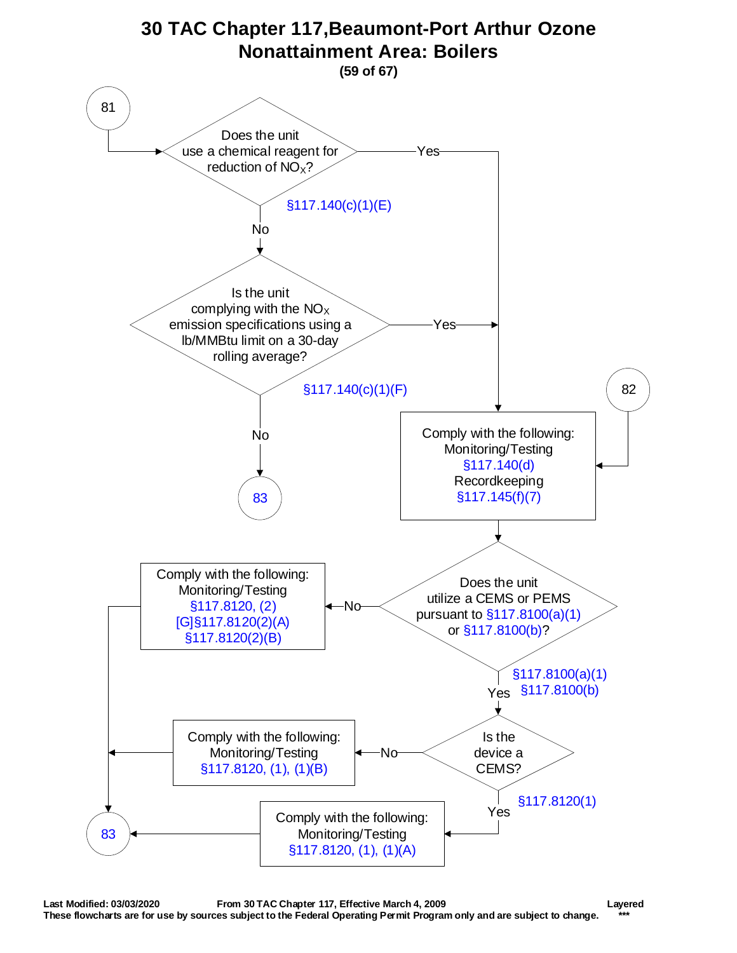<span id="page-58-0"></span>![](_page_58_Figure_0.jpeg)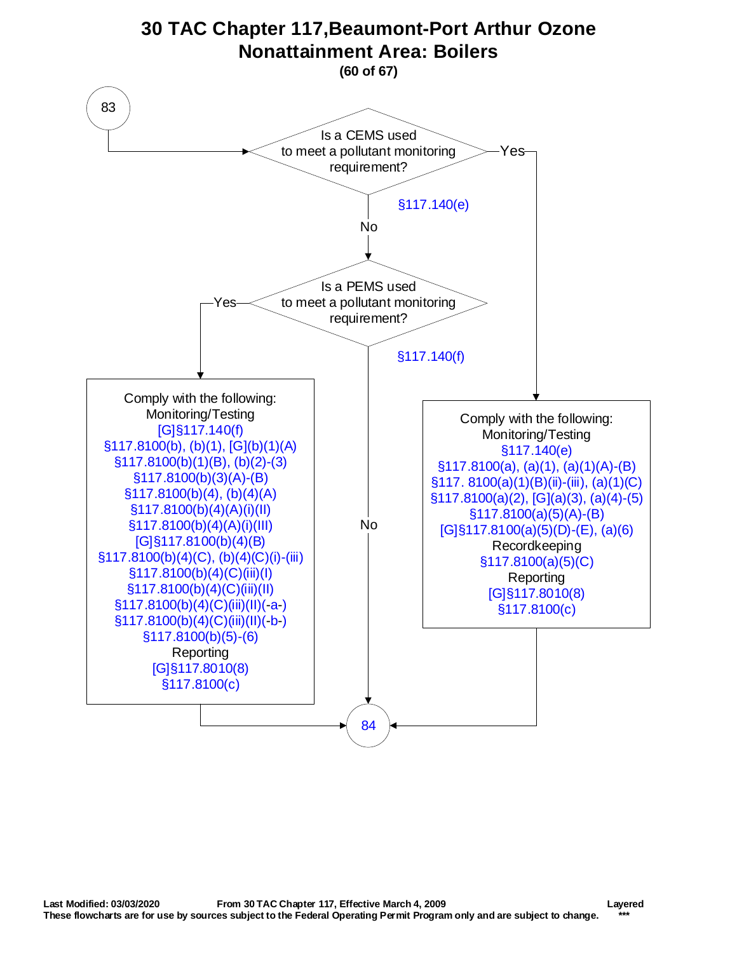<span id="page-59-0"></span>![](_page_59_Figure_0.jpeg)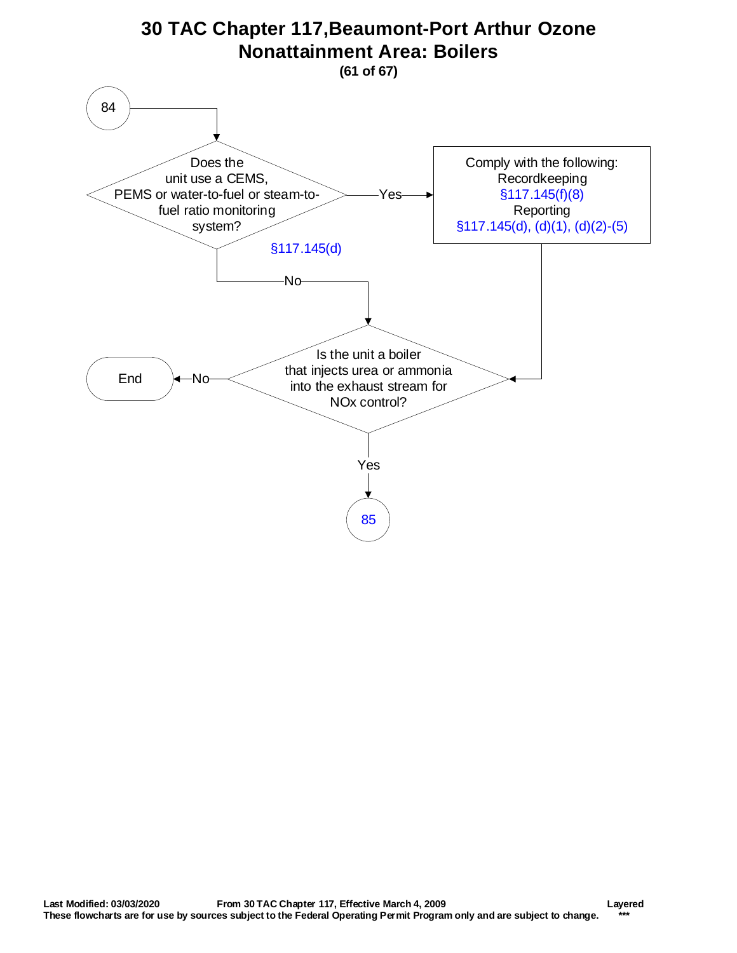<span id="page-60-0"></span>![](_page_60_Figure_0.jpeg)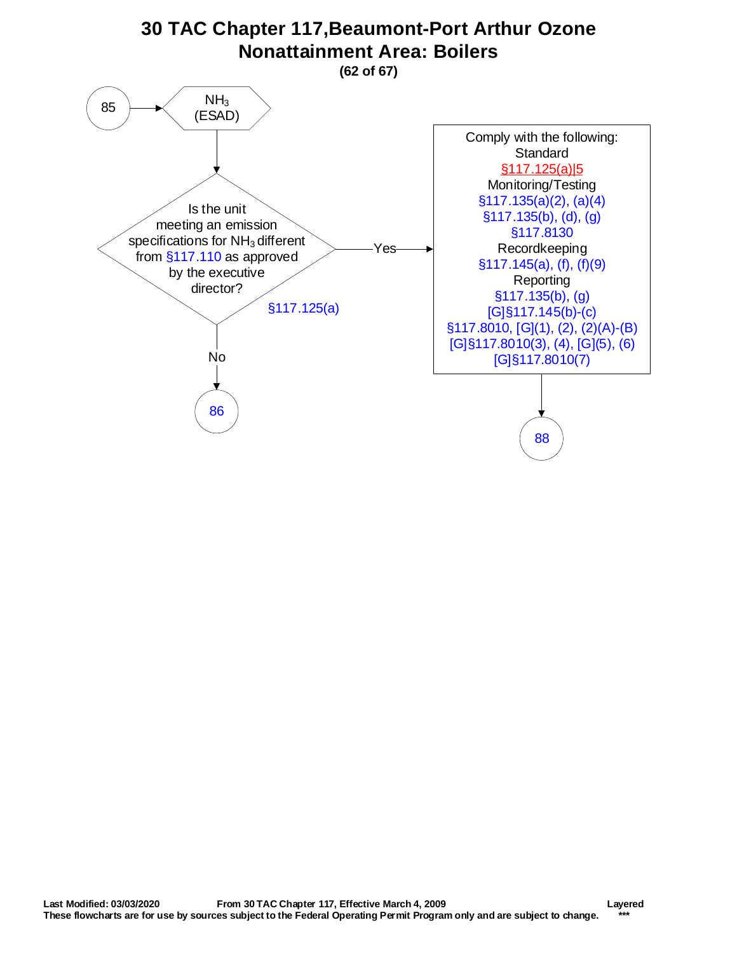<span id="page-61-0"></span>![](_page_61_Figure_0.jpeg)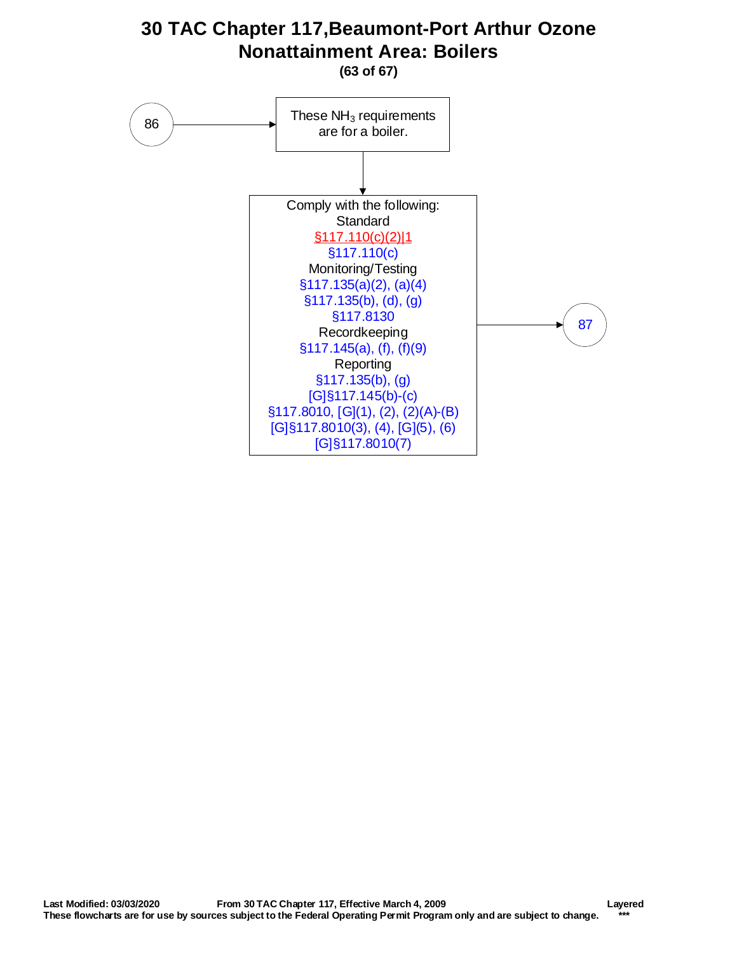<span id="page-62-0"></span>![](_page_62_Figure_0.jpeg)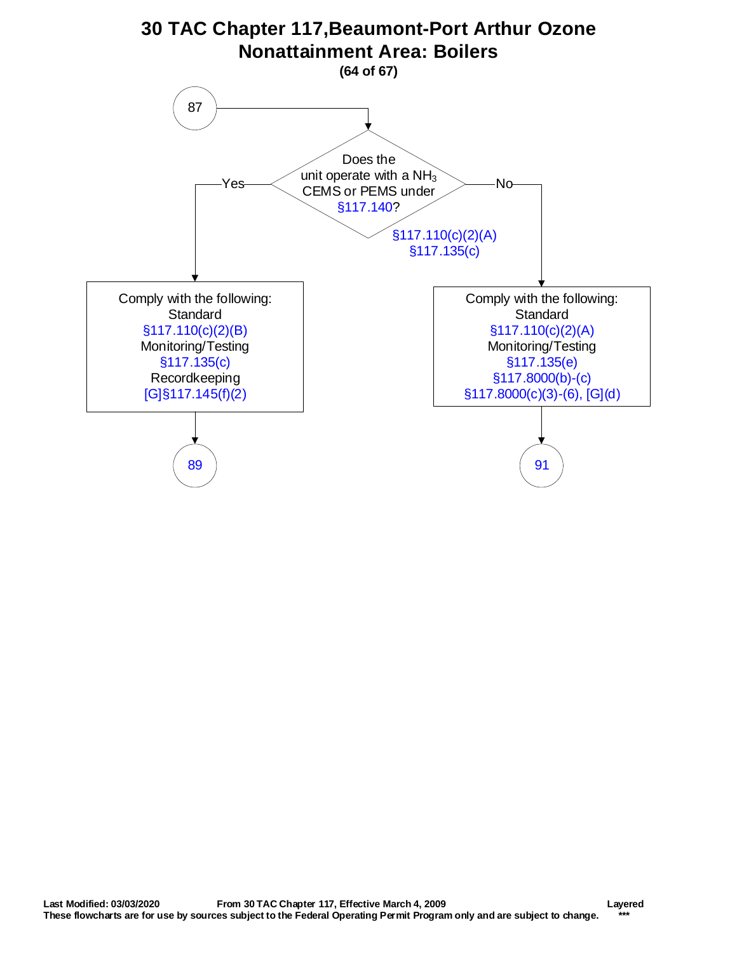<span id="page-63-0"></span>![](_page_63_Figure_0.jpeg)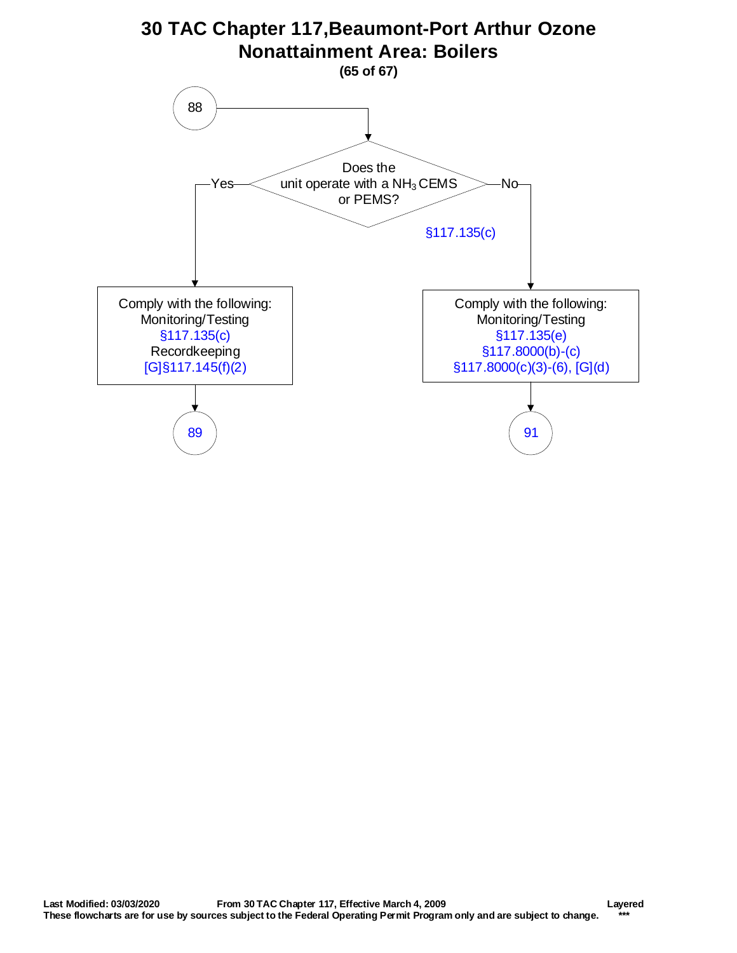<span id="page-64-0"></span>![](_page_64_Figure_0.jpeg)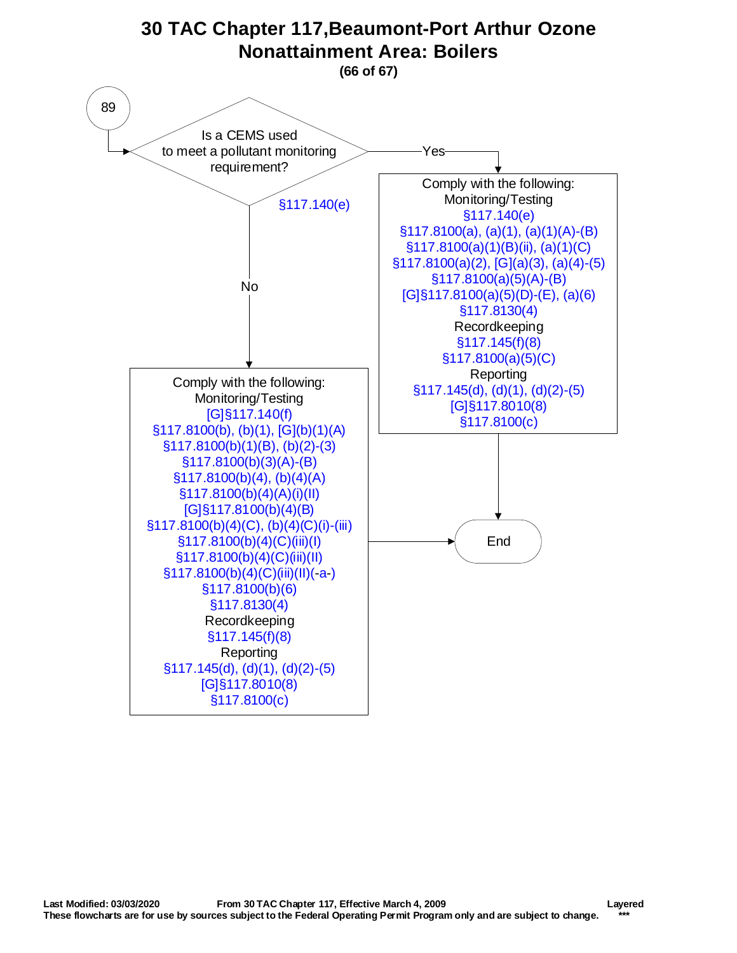<span id="page-65-0"></span>![](_page_65_Figure_0.jpeg)